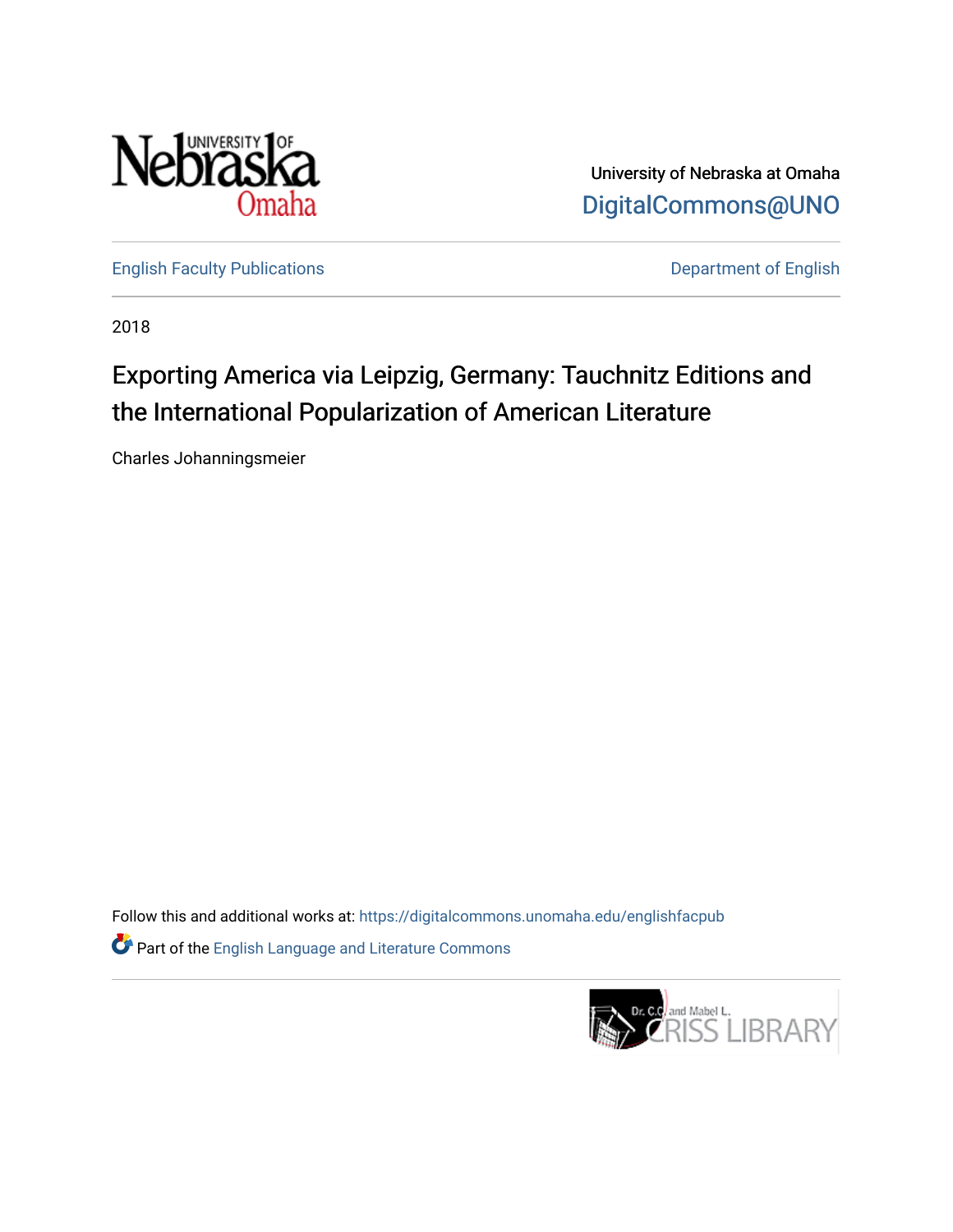

University of Nebraska at Omaha [DigitalCommons@UNO](https://digitalcommons.unomaha.edu/) 

[English Faculty Publications](https://digitalcommons.unomaha.edu/englishfacpub) **Department of English** 

2018

# Exporting America via Leipzig, Germany: Tauchnitz Editions and the International Popularization of American Literature

Charles Johanningsmeier

Follow this and additional works at: [https://digitalcommons.unomaha.edu/englishfacpub](https://digitalcommons.unomaha.edu/englishfacpub?utm_source=digitalcommons.unomaha.edu%2Fenglishfacpub%2F77&utm_medium=PDF&utm_campaign=PDFCoverPages)  Part of the [English Language and Literature Commons](http://network.bepress.com/hgg/discipline/455?utm_source=digitalcommons.unomaha.edu%2Fenglishfacpub%2F77&utm_medium=PDF&utm_campaign=PDFCoverPages)

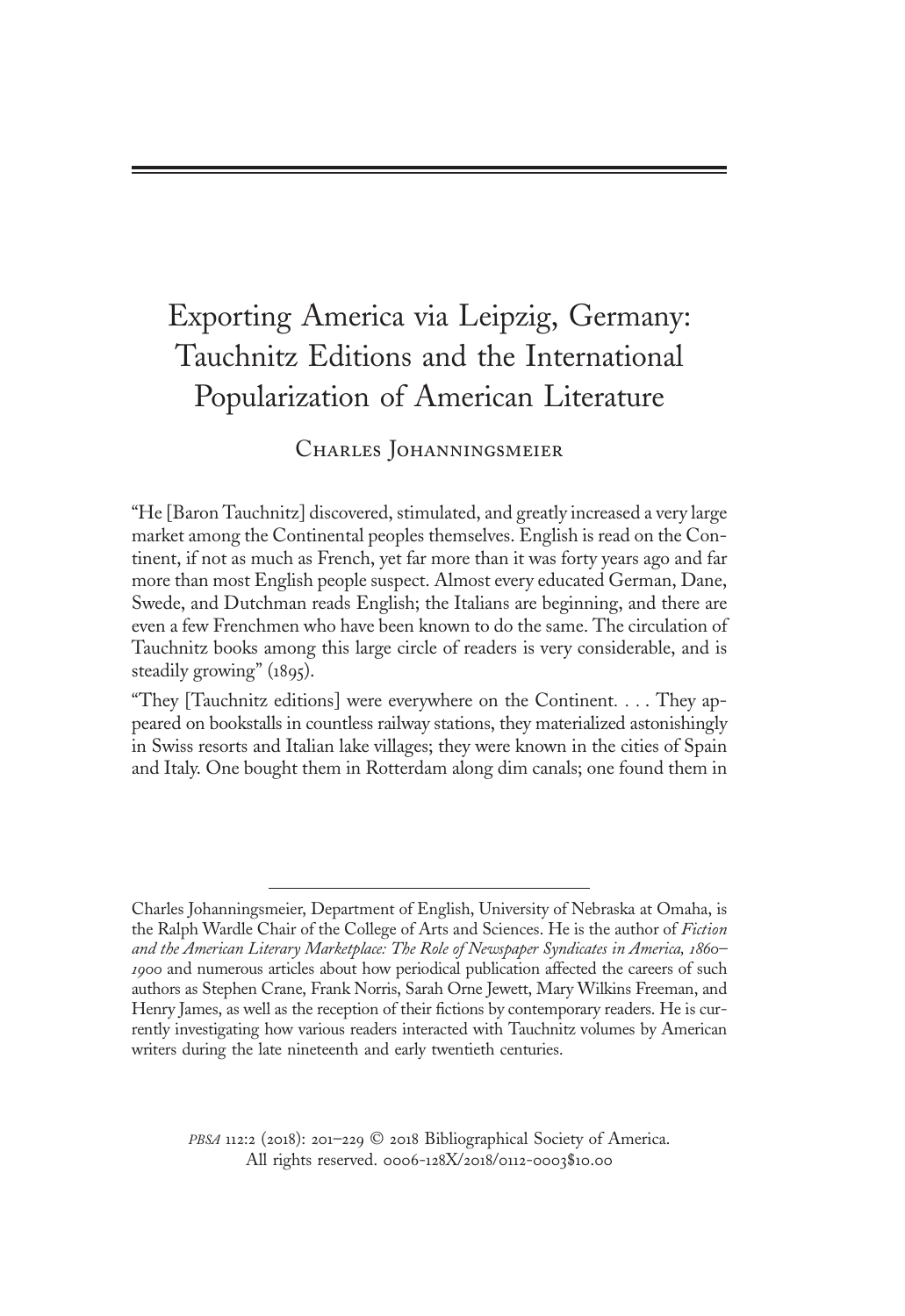## Exporting America via Leipzig, Germany: Tauchnitz Editions and the International Popularization of American Literature

# Charles Johanningsmeier

"He [Baron Tauchnitz] discovered, stimulated, and greatly increased a very large market among the Continental peoples themselves. English is read on the Continent, if not as much as French, yet far more than it was forty years ago and far more than most English people suspect. Almost every educated German, Dane, Swede, and Dutchman reads English; the Italians are beginning, and there are even a few Frenchmen who have been known to do the same. The circulation of Tauchnitz books among this large circle of readers is very considerable, and is steadily growing" (1895).

"They [Tauchnitz editions] were everywhere on the Continent... . They appeared on bookstalls in countless railway stations, they materialized astonishingly in Swiss resorts and Italian lake villages; they were known in the cities of Spain and Italy. One bought them in Rotterdam along dim canals; one found them in

PBSA 112:2 (2018): 201-229 © 2018 Bibliographical Society of America. All rights reserved. 0006-128X/2018/0112-0003\$10.00

Charles Johanningsmeier, Department of English, University of Nebraska at Omaha, is the Ralph Wardle Chair of the College of Arts and Sciences. He is the author of Fiction and the American Literary Marketplace: The Role of Newspaper Syndicates in America, 1860– 1900 and numerous articles about how periodical publication affected the careers of such authors as Stephen Crane, Frank Norris, Sarah Orne Jewett, Mary Wilkins Freeman, and Henry James, as well as the reception of their fictions by contemporary readers. He is currently investigating how various readers interacted with Tauchnitz volumes by American writers during the late nineteenth and early twentieth centuries.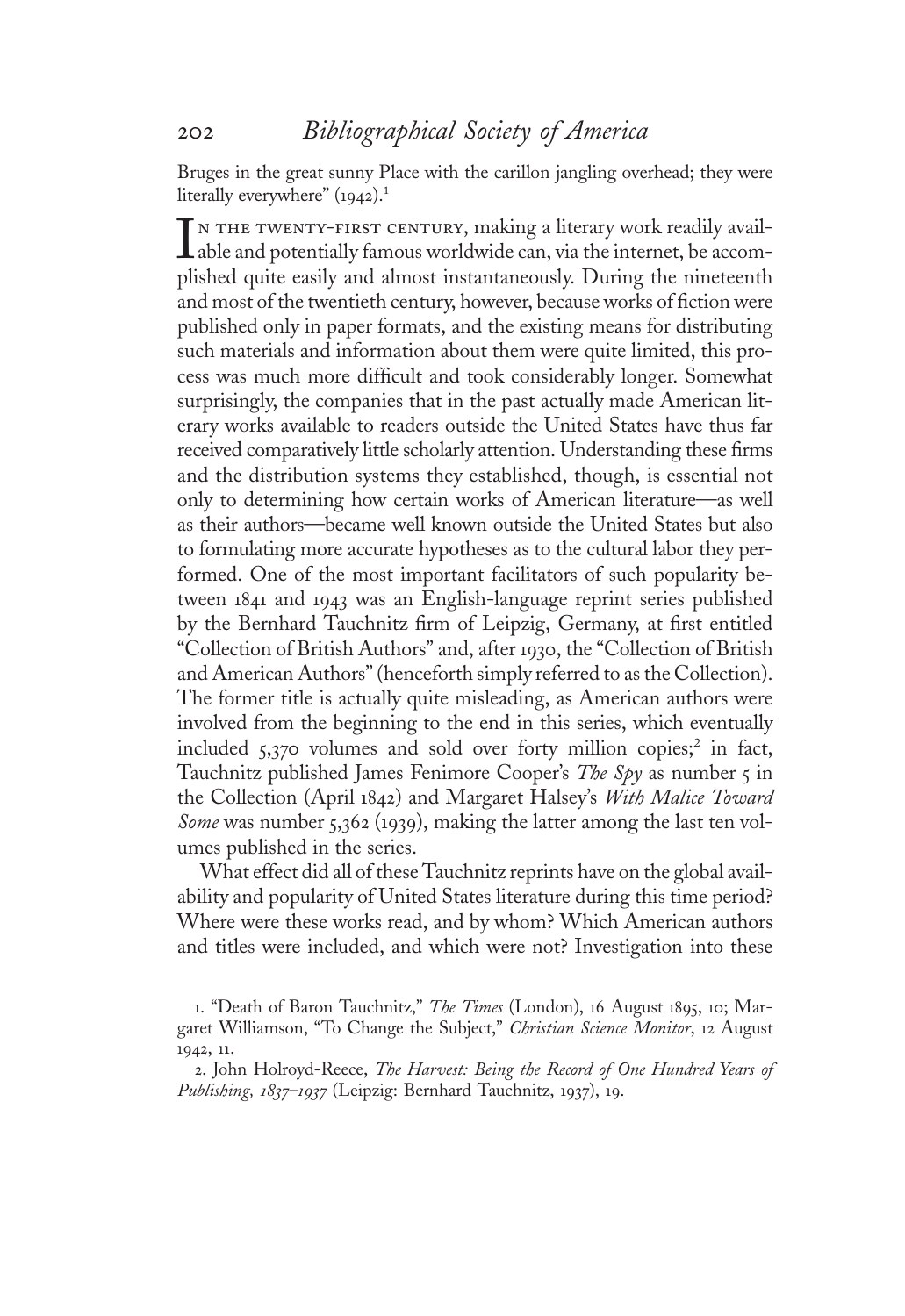Bruges in the great sunny Place with the carillon jangling overhead; they were literally everywhere" (1942).<sup>1</sup>

plished quite easily and almost instantaneously. During the nineteenth<br>and most of the twentieth century, however, because works of fiction were n the twenty-first century, making a literary work readily available and potentially famous worldwide can, via the internet, be accomand most of the twentieth century, however, because works of fiction were published only in paper formats, and the existing means for distributing such materials and information about them were quite limited, this process was much more difficult and took considerably longer. Somewhat surprisingly, the companies that in the past actually made American literary works available to readers outside the United States have thus far received comparatively little scholarly attention. Understanding these firms and the distribution systems they established, though, is essential not only to determining how certain works of American literature—as well as their authors—became well known outside the United States but also to formulating more accurate hypotheses as to the cultural labor they performed. One of the most important facilitators of such popularity between <sup>1</sup>84<sup>1</sup> and <sup>1</sup>943 was an English-language reprint series published by the Bernhard Tauchnitz firm of Leipzig, Germany, at first entitled "Collection of British Authors" and, after <sup>1</sup>930, the "Collection of British and American Authors"(henceforth simply referred to as the Collection). The former title is actually quite misleading, as American authors were involved from the beginning to the end in this series, which eventually included  $5,370$  volumes and sold over forty million copies;<sup>2</sup> in fact, Tauchnitz published James Fenimore Cooper's The Spy as number 5 in the Collection (April <sup>1</sup>842) and Margaret Halsey'<sup>s</sup> With Malice Toward Some was number 5,362 (1939), making the latter among the last ten volumes published in the series.

What effect did all of these Tauchnitz reprints have on the global availability and popularity of United States literature during this time period? Where were these works read, and by whom? Which American authors and titles were included, and which were not? Investigation into these

1. "Death of Baron Tauchnitz," The Times (London), 16 August 1895, 10; Margaret Williamson, "To Change the Subject," Christian Science Monitor, 12 August <sup>1</sup>942, <sup>11</sup>.

2. John Holroyd-Reece, The Harvest: Being the Record of One Hundred Years of Publishing, 1837–1937 (Leipzig: Bernhard Tauchnitz, 1937), 19.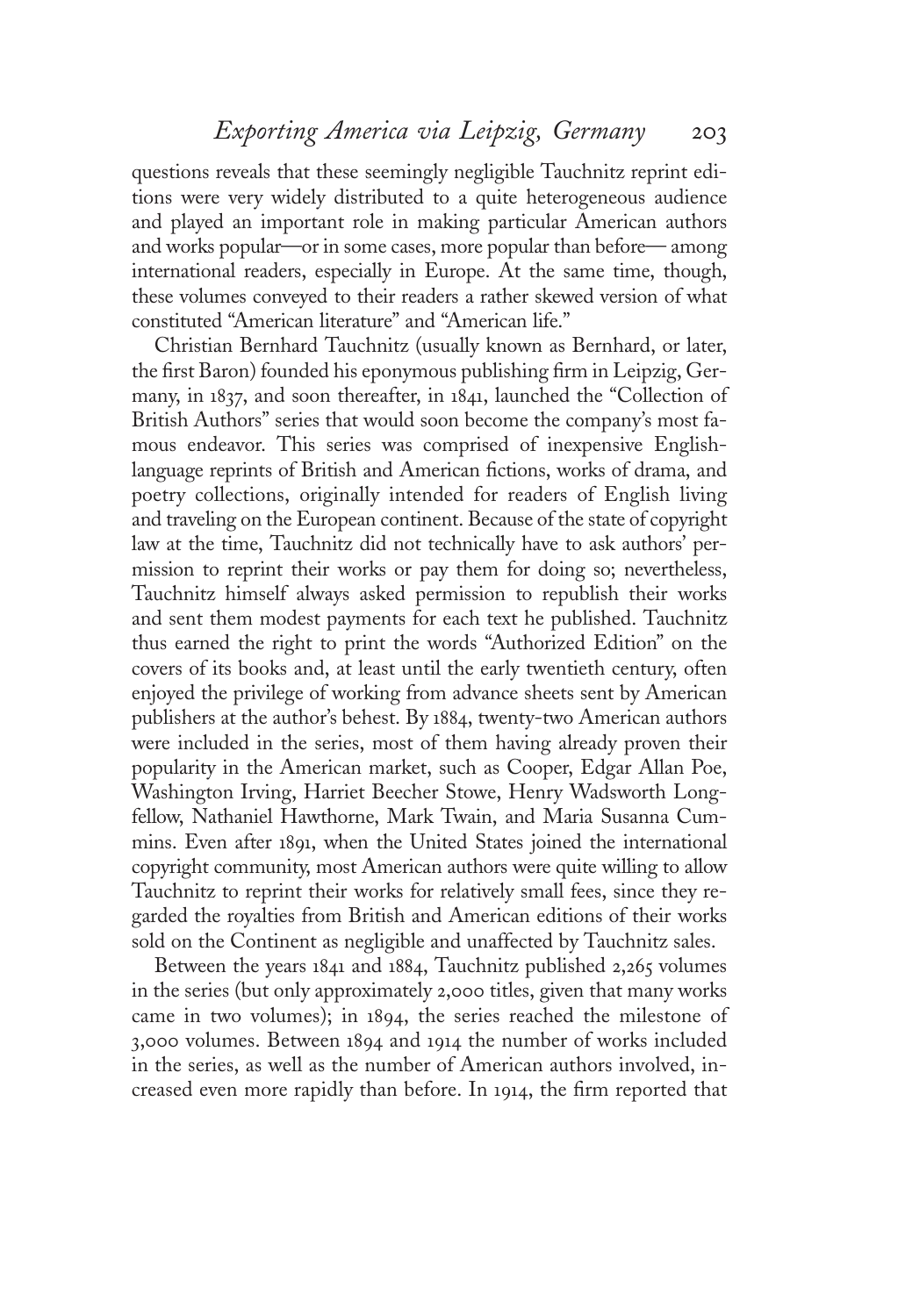questions reveals that these seemingly negligible Tauchnitz reprint editions were very widely distributed to a quite heterogeneous audience and played an important role in making particular American authors and works popular—or in some cases, more popular than before— among international readers, especially in Europe. At the same time, though, these volumes conveyed to their readers a rather skewed version of what constituted "American literature" and "American life."

Christian Bernhard Tauchnitz (usually known as Bernhard, or later, the first Baron) founded his eponymous publishing firm in Leipzig, Germany, in <sup>1</sup>837, and soon thereafter, in <sup>1</sup>841, launched the "Collection of British Authors" series that would soon become the company's most famous endeavor. This series was comprised of inexpensive Englishlanguage reprints of British and American fictions, works of drama, and poetry collections, originally intended for readers of English living and traveling on the European continent. Because of the state of copyright law at the time, Tauchnitz did not technically have to ask authors' permission to reprint their works or pay them for doing so; nevertheless, Tauchnitz himself always asked permission to republish their works and sent them modest payments for each text he published. Tauchnitz thus earned the right to print the words "Authorized Edition" on the covers of its books and, at least until the early twentieth century, often enjoyed the privilege of working from advance sheets sent by American publishers at the author's behest. By <sup>1</sup>884, twenty-two American authors were included in the series, most of them having already proven their popularity in the American market, such as Cooper, Edgar Allan Poe, Washington Irving, Harriet Beecher Stowe, Henry Wadsworth Longfellow, Nathaniel Hawthorne, Mark Twain, and Maria Susanna Cummins. Even after <sup>1</sup>891, when the United States joined the international copyright community, most American authors were quite willing to allow Tauchnitz to reprint their works for relatively small fees, since they regarded the royalties from British and American editions of their works sold on the Continent as negligible and unaffected by Tauchnitz sales.

Between the years <sup>1</sup>84<sup>1</sup> and <sup>1</sup>884, Tauchnitz published 2,265 volumes in the series (but only approximately 2,000 titles, given that many works came in two volumes); in <sup>1</sup>894, the series reached the milestone of <sup>3</sup>,<sup>000</sup> volumes. Between <sup>1</sup><sup>894</sup> and <sup>1</sup>914 the number of works included in the series, as well as the number of American authors involved, increased even more rapidly than before. In <sup>1</sup>914, the firm reported that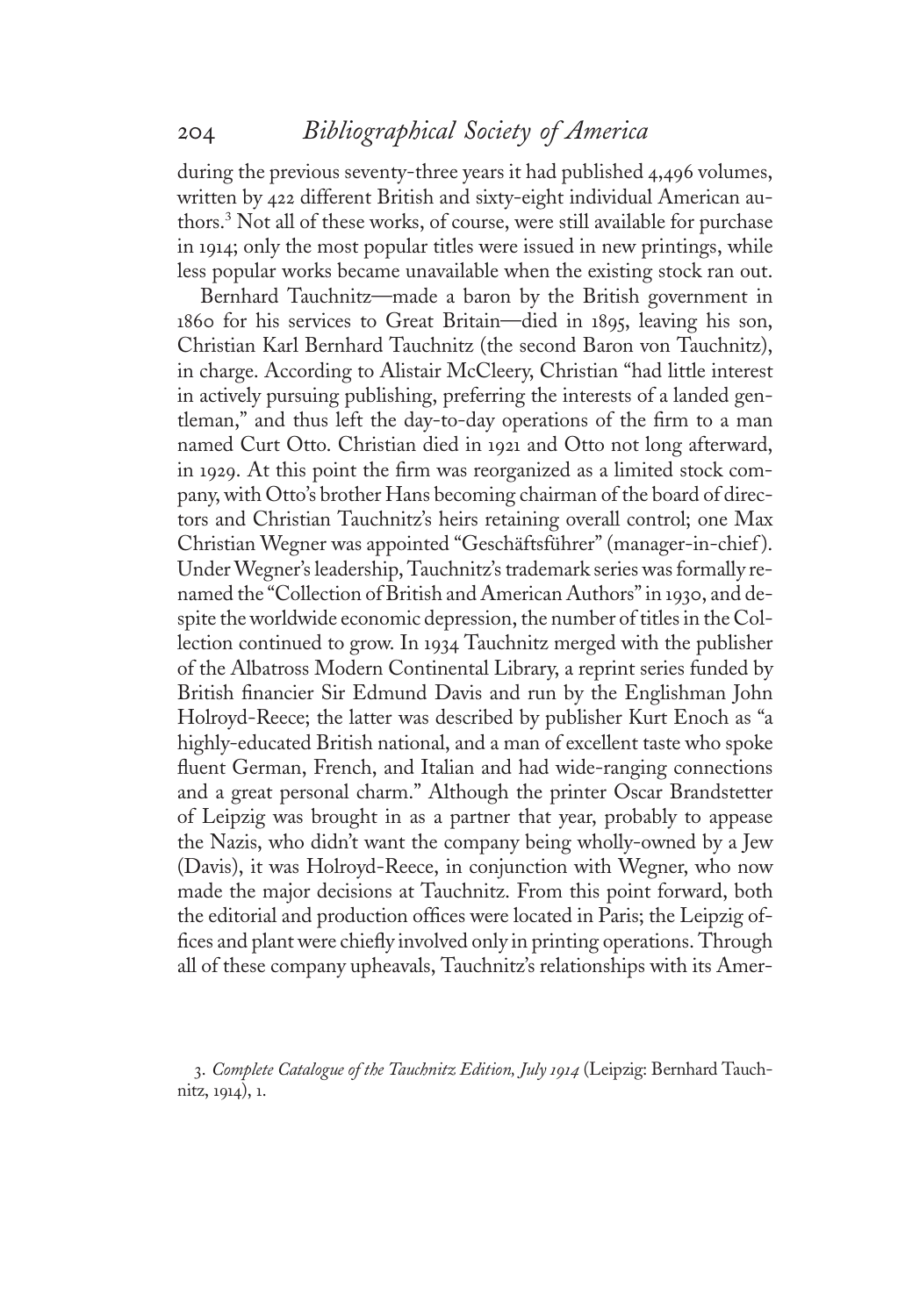during the previous seventy-three years it had published 4,496 volumes, written by 422 different British and sixty-eight individual American authors.<sup>3</sup> Not all of these works, of course, were still available for purchase in <sup>1</sup>914; only the most popular titles were issued in new printings, while less popular works became unavailable when the existing stock ran out.

Bernhard Tauchnitz—made a baron by the British government in <sup>1</sup>860 for his services to Great Britain—died in <sup>1</sup>895, leaving his son, Christian Karl Bernhard Tauchnitz (the second Baron von Tauchnitz), in charge. According to Alistair McCleery, Christian "had little interest in actively pursuing publishing, preferring the interests of a landed gentleman," and thus left the day-to-day operations of the firm to a man named Curt Otto. Christian died in <sup>1</sup>92<sup>1</sup> and Otto not long afterward, in <sup>1</sup>929. At this point the firm was reorganized as a limited stock company, with Otto's brother Hans becoming chairman of the board of directors and Christian Tauchnitz's heirs retaining overall control; one Max Christian Wegner was appointed "Geschäftsführer" (manager-in-chief ). Under Wegner's leadership, Tauchnitz's trademark series was formally renamed the "Collection of British and American Authors"in <sup>1</sup>930, and despite the worldwide economic depression, the number of titles in the Collection continued to grow. In <sup>1</sup>934 Tauchnitz merged with the publisher of the Albatross Modern Continental Library, a reprint series funded by British financier Sir Edmund Davis and run by the Englishman John Holroyd-Reece; the latter was described by publisher Kurt Enoch as "a highly-educated British national, and a man of excellent taste who spoke fluent German, French, and Italian and had wide-ranging connections and a great personal charm." Although the printer Oscar Brandstetter of Leipzig was brought in as a partner that year, probably to appease the Nazis, who didn't want the company being wholly-owned by a Jew (Davis), it was Holroyd-Reece, in conjunction with Wegner, who now made the major decisions at Tauchnitz. From this point forward, both the editorial and production offices were located in Paris; the Leipzig offices and plant were chiefly involved only in printing operations. Through all of these company upheavals, Tauchnitz's relationships with its Amer-

<sup>3</sup>. Complete Catalogue of the Tauchnitz Edition, July <sup>1</sup>91<sup>4</sup> (Leipzig: Bernhard Tauchnitz, <sup>1</sup>914), <sup>1</sup>.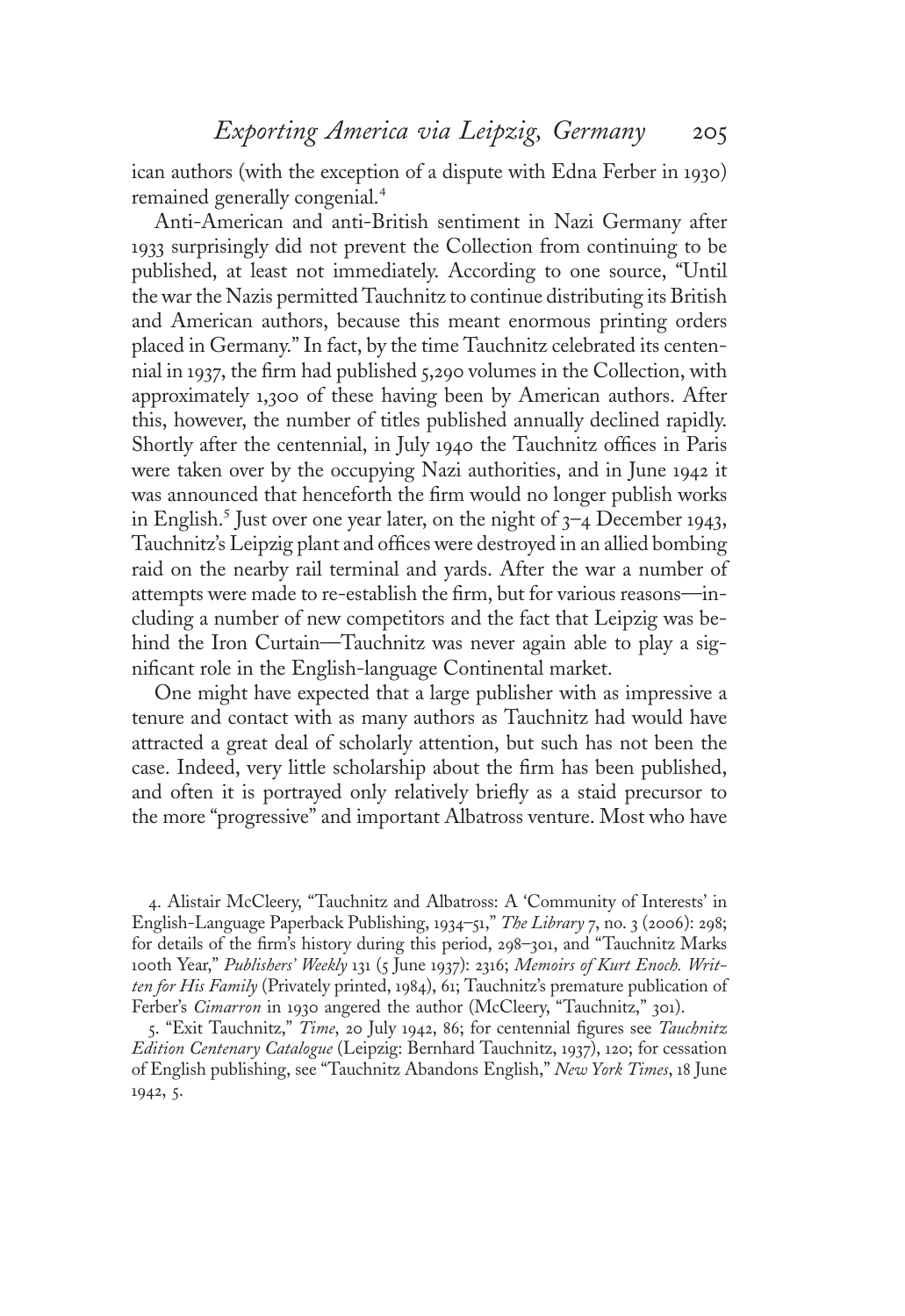ican authors (with the exception of a dispute with Edna Ferber in <sup>1</sup>930) remained generally congenial.<sup>4</sup>

Anti-American and anti-British sentiment in Nazi Germany after <sup>1</sup>933 surprisingly did not prevent the Collection from continuing to be published, at least not immediately. According to one source, "Until the war the Nazis permitted Tauchnitz to continue distributing its British and American authors, because this meant enormous printing orders placed in Germany." In fact, by the time Tauchnitz celebrated its centennial in <sup>1</sup>937, the firm had published 5,290 volumes in the Collection, with approximately <sup>1</sup>,300 of these having been by American authors. After this, however, the number of titles published annually declined rapidly. Shortly after the centennial, in July <sup>1</sup>940 the Tauchnitz offices in Paris were taken over by the occupying Nazi authorities, and in June <sup>1</sup>942 it was announced that henceforth the firm would no longer publish works in English.<sup>5</sup> Just over one year later, on the night of  $3-4$  December 1943, Tauchnitz's Leipzig plant and offices were destroyed in an allied bombing raid on the nearby rail terminal and yards. After the war a number of attempts were made to re-establish the firm, but for various reasons—including a number of new competitors and the fact that Leipzig was behind the Iron Curtain—Tauchnitz was never again able to play a significant role in the English-language Continental market.

One might have expected that a large publisher with as impressive a tenure and contact with as many authors as Tauchnitz had would have attracted a great deal of scholarly attention, but such has not been the case. Indeed, very little scholarship about the firm has been published, and often it is portrayed only relatively briefly as a staid precursor to the more "progressive" and important Albatross venture. Most who have

4. Alistair McCleery, "Tauchnitz and Albatross: A 'Community of Interests' in English-Language Paperback Publishing, 1934–51," The Library 7, no. 3 (2006): 298; for details of the firm's history during this period, 298–301, and "Tauchnitz Marks 100th Year," Publishers' Weekly 131 (5 June 1937): 2316; Memoirs of Kurt Enoch. Written for His Family (Privately printed, 1984), 61; Tauchnitz's premature publication of Ferber's Cimarron in 1930 angered the author (McCleery, "Tauchnitz," 301).

5. "Exit Tauchnitz," Time, 20 July 1942, 86; for centennial figures see Tauchnitz Edition Centenary Catalogue (Leipzig: Bernhard Tauchnitz, <sup>1</sup>937), <sup>1</sup>20; for cessation of English publishing, see "Tauchnitz Abandons English," New York Times, <sup>1</sup>8 June <sup>1</sup>942, 5.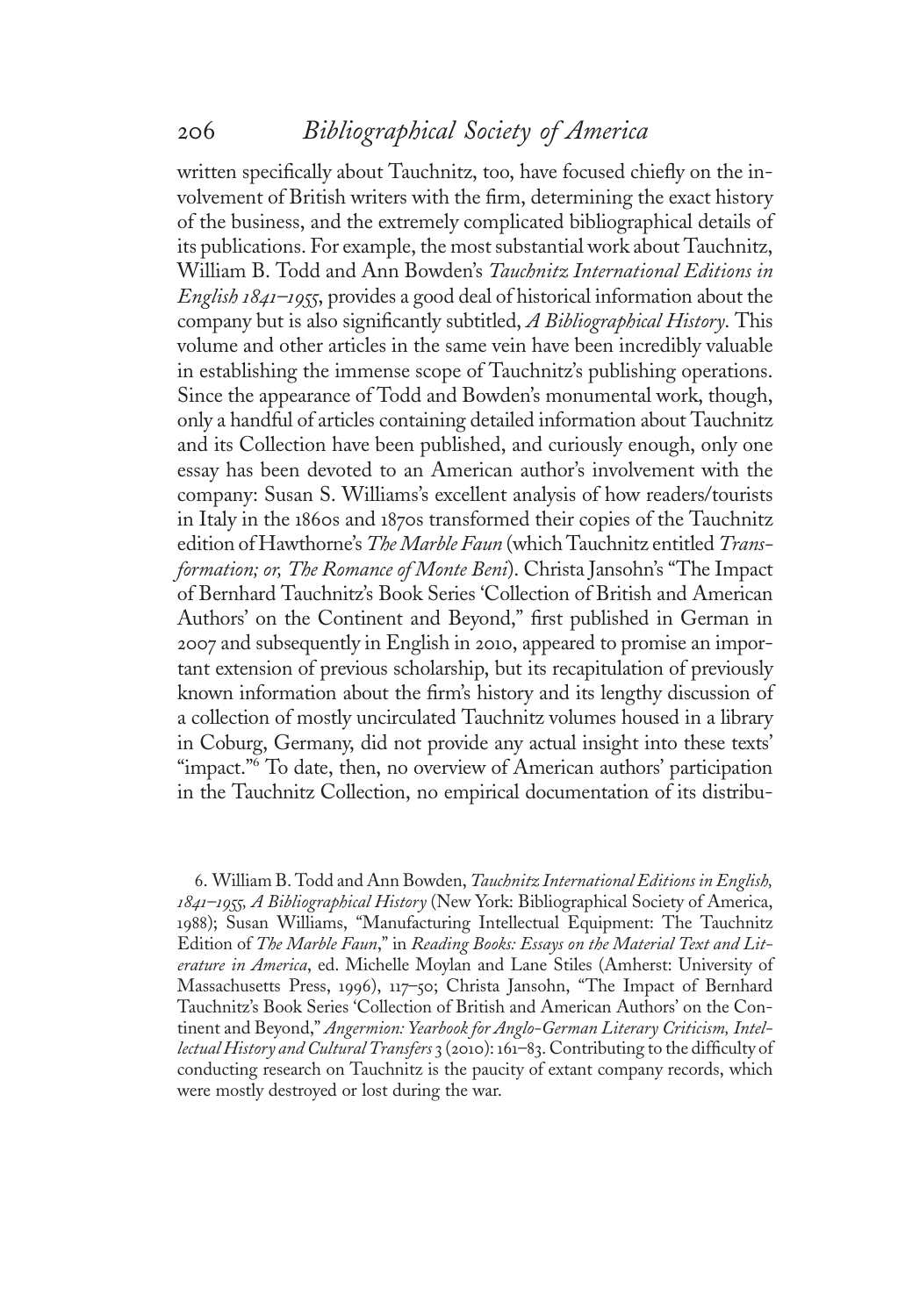written specifically about Tauchnitz, too, have focused chiefly on the involvement of British writers with the firm, determining the exact history of the business, and the extremely complicated bibliographical details of its publications. For example, the most substantial work about Tauchnitz, William B. Todd and Ann Bowden's Tauchnitz International Editions in English 1841–1955, provides a good deal of historical information about the company but is also significantly subtitled, A Bibliographical History. This volume and other articles in the same vein have been incredibly valuable in establishing the immense scope of Tauchnitz's publishing operations. Since the appearance of Todd and Bowden's monumental work, though, only a handful of articles containing detailed information about Tauchnitz and its Collection have been published, and curiously enough, only one essay has been devoted to an American author's involvement with the company: Susan S. Williams's excellent analysis of how readers/tourists in Italy in the <sup>1</sup>860s and <sup>1</sup>870s transformed their copies of the Tauchnitz edition of Hawthorne's The Marble Faun (which Tauchnitz entitled Transformation; or, The Romance of Monte Beni). Christa Jansohn's "The Impact of Bernhard Tauchnitz's Book Series 'Collection of British and American Authors' on the Continent and Beyond," first published in German in 2007 and subsequently in English in 2010, appeared to promise an important extension of previous scholarship, but its recapitulation of previously known information about the firm's history and its lengthy discussion of a collection of mostly uncirculated Tauchnitz volumes housed in a library in Coburg, Germany, did not provide any actual insight into these texts' "impact."<sup>6</sup> To date, then, no overview of American authors' participation in the Tauchnitz Collection, no empirical documentation of its distribu-

6. William B. Todd and Ann Bowden, Tauchnitz International Editions in English, 1841–1955, A Bibliographical History (New York: Bibliographical Society of America, <sup>1</sup>988); Susan Williams, "Manufacturing Intellectual Equipment: The Tauchnitz Edition of The Marble Faun," in Reading Books: Essays on the Material Text and Literature in America, ed. Michelle Moylan and Lane Stiles (Amherst: University of Massachusetts Press, <sup>1</sup>996), <sup>11</sup>7–50; Christa Jansohn, "The Impact of Bernhard Tauchnitz's Book Series 'Collection of British and American Authors' on the Continent and Beyond," Angermion: Yearbook for Anglo-German Literary Criticism, Intellectual History and Cultural Transfers 3 (2010): 161–83. Contributing to the difficulty of conducting research on Tauchnitz is the paucity of extant company records, which were mostly destroyed or lost during the war.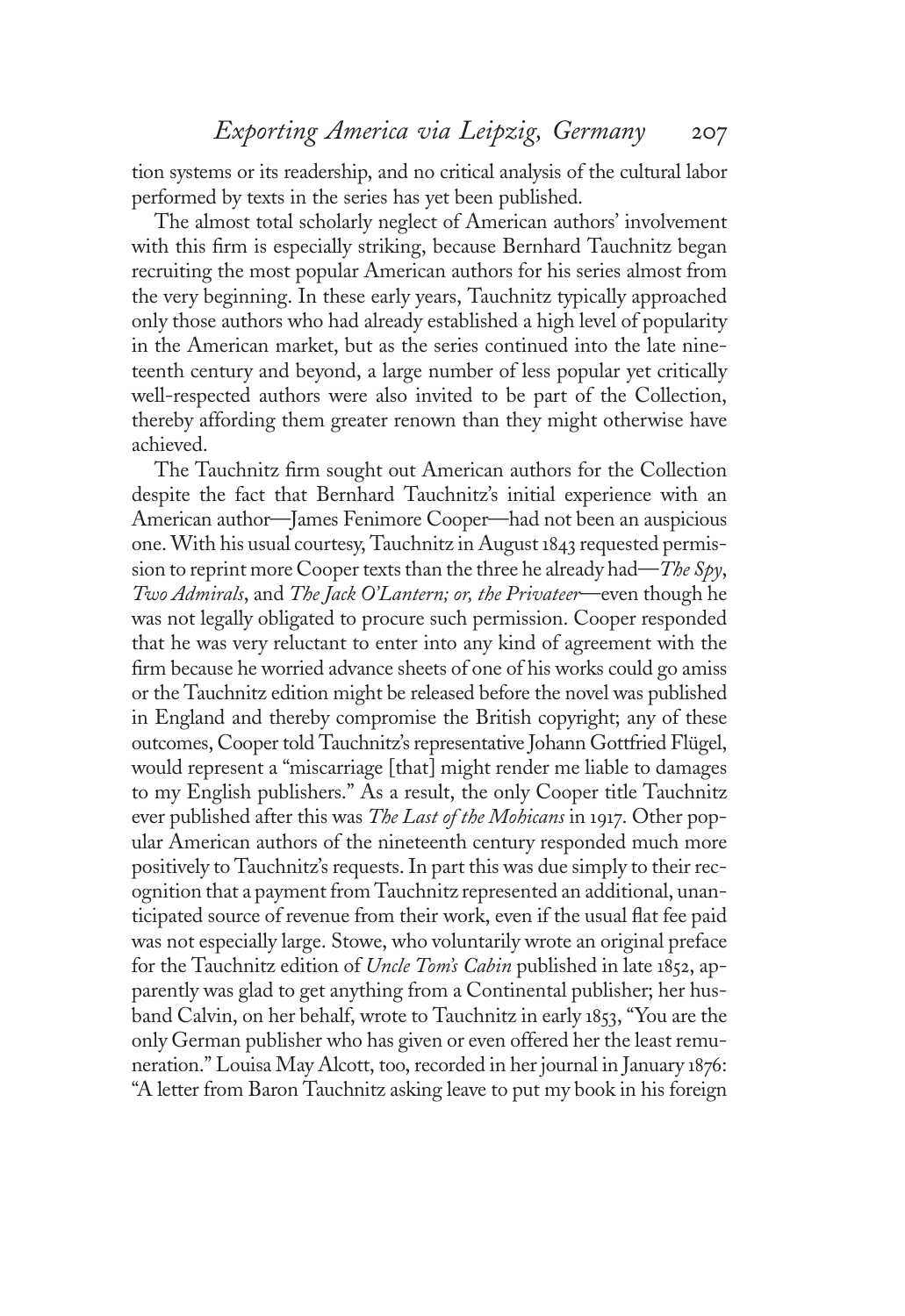tion systems or its readership, and no critical analysis of the cultural labor performed by texts in the series has yet been published.

The almost total scholarly neglect of American authors' involvement with this firm is especially striking, because Bernhard Tauchnitz began recruiting the most popular American authors for his series almost from the very beginning. In these early years, Tauchnitz typically approached only those authors who had already established a high level of popularity in the American market, but as the series continued into the late nineteenth century and beyond, a large number of less popular yet critically well-respected authors were also invited to be part of the Collection, thereby affording them greater renown than they might otherwise have achieved.

The Tauchnitz firm sought out American authors for the Collection despite the fact that Bernhard Tauchnitz's initial experience with an American author—James Fenimore Cooper—had not been an auspicious one. With his usual courtesy, Tauchnitz in August 1843 requested permission to reprint more Cooper texts than the three he already had—*The Spy*, Two Admirals, and The Jack O'Lantern; or, the Privateer—even though he was not legally obligated to procure such permission. Cooper responded that he was very reluctant to enter into any kind of agreement with the firm because he worried advance sheets of one of his works could go amiss or the Tauchnitz edition might be released before the novel was published in England and thereby compromise the British copyright; any of these outcomes, Cooper told Tauchnitz's representative Johann Gottfried Flügel, would represent a "miscarriage [that] might render me liable to damages to my English publishers." As a result, the only Cooper title Tauchnitz ever published after this was The Last of the Mohicans in 1917. Other popular American authors of the nineteenth century responded much more positively to Tauchnitz's requests. In part this was due simply to their recognition that a payment from Tauchnitz represented an additional, unanticipated source of revenue from their work, even if the usual flat fee paid was not especially large. Stowe, who voluntarily wrote an original preface for the Tauchnitz edition of Uncle Tom's Cabin published in late <sup>1</sup>852, apparently was glad to get anything from a Continental publisher; her husband Calvin, on her behalf, wrote to Tauchnitz in early <sup>1</sup>853, "You are the only German publisher who has given or even offered her the least remuneration." Louisa May Alcott, too, recorded in her journal in January <sup>1</sup>876: "A letter from Baron Tauchnitz asking leave to put my book in his foreign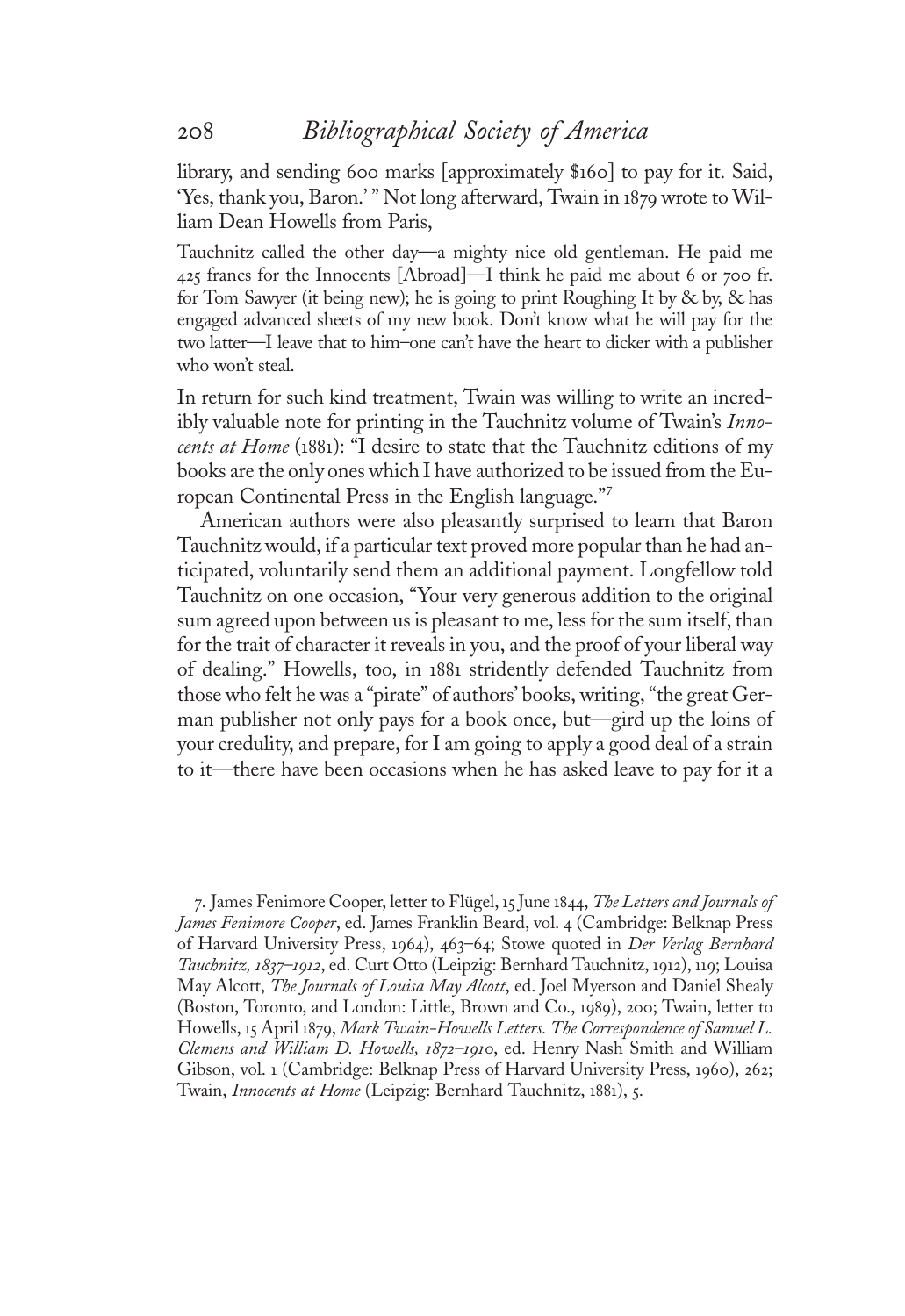library, and sending 600 marks [approximately \$160] to pay for it. Said, 'Yes, thank you, Baron.' " Not long afterward, Twain in <sup>1</sup>879 wrote to William Dean Howells from Paris,

Tauchnitz called the other day—a mighty nice old gentleman. He paid me 425 francs for the Innocents [Abroad]—I think he paid me about 6 or 700 fr. for Tom Sawyer (it being new); he is going to print Roughing It by & by, & has engaged advanced sheets of my new book. Don't know what he will pay for the two latter—I leave that to him–one can't have the heart to dicker with a publisher who won't steal.

In return for such kind treatment, Twain was willing to write an incredibly valuable note for printing in the Tauchnitz volume of Twain's Innocents at Home (1881): "I desire to state that the Tauchnitz editions of my books are the only ones which I have authorized to be issued from the European Continental Press in the English language." 7

American authors were also pleasantly surprised to learn that Baron Tauchnitz would, if a particular text proved more popular than he had anticipated, voluntarily send them an additional payment. Longfellow told Tauchnitz on one occasion, "Your very generous addition to the original sum agreed upon between us is pleasant to me, less for the sum itself, than for the trait of character it reveals in you, and the proof of your liberal way of dealing." Howells, too, in <sup>1</sup>88<sup>1</sup> stridently defended Tauchnitz from those who felt he was a "pirate" of authors' books, writing, "the great German publisher not only pays for a book once, but—gird up the loins of your credulity, and prepare, for I am going to apply a good deal of a strain to it—there have been occasions when he has asked leave to pay for it a

7. James Fenimore Cooper, letter to Flügel, <sup>1</sup>5 June <sup>1</sup>844, The Letters and Journals of James Fenimore Cooper, ed. James Franklin Beard, vol. 4 (Cambridge: Belknap Press of Harvard University Press, 1964), 463-64; Stowe quoted in Der Verlag Bernhard Tauchnitz, <sup>1</sup>837–1912, ed. Curt Otto (Leipzig: Bernhard Tauchnitz, <sup>1</sup>912), <sup>11</sup>9; Louisa May Alcott, *The Journals of Louisa May Alcott*, ed. Joel Myerson and Daniel Shealy (Boston, Toronto, and London: Little, Brown and Co., <sup>1</sup>989), 200; Twain, letter to Howells, <sup>1</sup>5 April <sup>1</sup>879, Mark Twain-Howells Letters. The Correspondence of Samuel L. Clemens and William D. Howells, 1872–1910, ed. Henry Nash Smith and William Gibson, vol. <sup>1</sup> (Cambridge: Belknap Press of Harvard University Press, <sup>1</sup>960), 262; Twain, Innocents at Home (Leipzig: Bernhard Tauchnitz, <sup>1</sup>881), 5.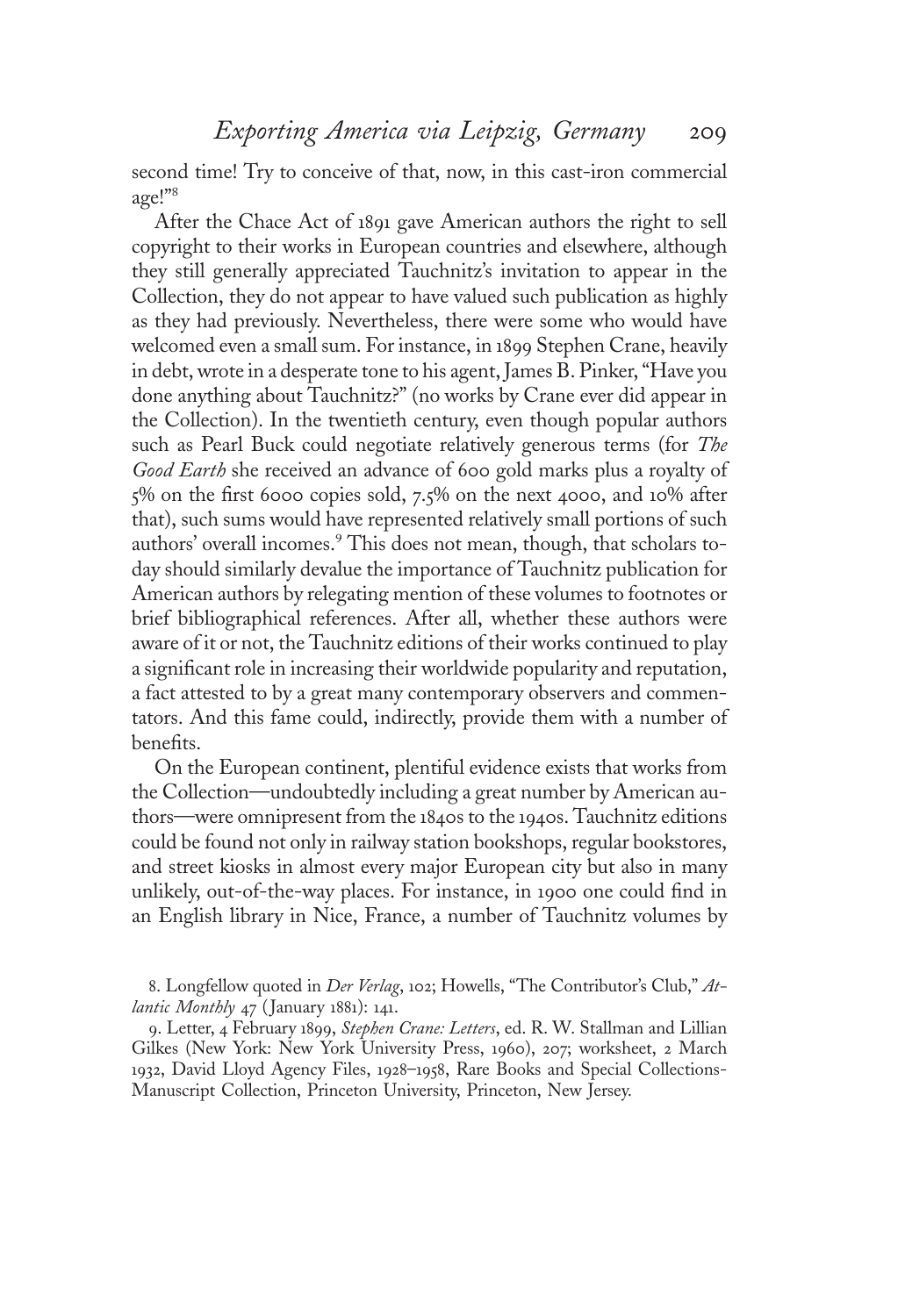second time! Try to conceive of that, now, in this cast-iron commercial age!" 8

After the Chace Act of <sup>1</sup>89<sup>1</sup> gave American authors the right to sell copyright to their works in European countries and elsewhere, although they still generally appreciated Tauchnitz's invitation to appear in the Collection, they do not appear to have valued such publication as highly as they had previously. Nevertheless, there were some who would have welcomed even a small sum. For instance, in <sup>1</sup>899 Stephen Crane, heavily in debt, wrote in a desperate tone to his agent, James B. Pinker,"Have you done anything about Tauchnitz?" (no works by Crane ever did appear in the Collection). In the twentieth century, even though popular authors such as Pearl Buck could negotiate relatively generous terms (for The Good Earth she received an advance of 600 gold marks plus a royalty of 5% on the first 6000 copies sold, 7.5% on the next 4000, and <sup>1</sup>0% after that), such sums would have represented relatively small portions of such authors' overall incomes.<sup>9</sup> This does not mean, though, that scholars today should similarly devalue the importance of Tauchnitz publication for American authors by relegating mention of these volumes to footnotes or brief bibliographical references. After all, whether these authors were aware of it or not, the Tauchnitz editions of their works continued to play a significant role in increasing their worldwide popularity and reputation, a fact attested to by a great many contemporary observers and commentators. And this fame could, indirectly, provide them with a number of benefits.

On the European continent, plentiful evidence exists that works from the Collection—undoubtedly including a great number by American authors—were omnipresent from the <sup>1</sup>840s to the <sup>1</sup>940s. Tauchnitz editions could be found not only in railway station bookshops, regular bookstores, and street kiosks in almost every major European city but also in many unlikely, out-of-the-way places. For instance, in <sup>1</sup>900 one could find in an English library in Nice, France, a number of Tauchnitz volumes by

8. Longfellow quoted in Der Verlag, 102; Howells, "The Contributor's Club," Atlantic Monthly 47 (January 1881): 141.

9. Letter, 4 February 1899, Stephen Crane: Letters, ed. R. W. Stallman and Lillian Gilkes (New York: New York University Press, <sup>1</sup>960), 207; worksheet, 2 March <sup>1</sup>932, David Lloyd Agency Files, <sup>1</sup>928–1958, Rare Books and Special Collections-Manuscript Collection, Princeton University, Princeton, New Jersey.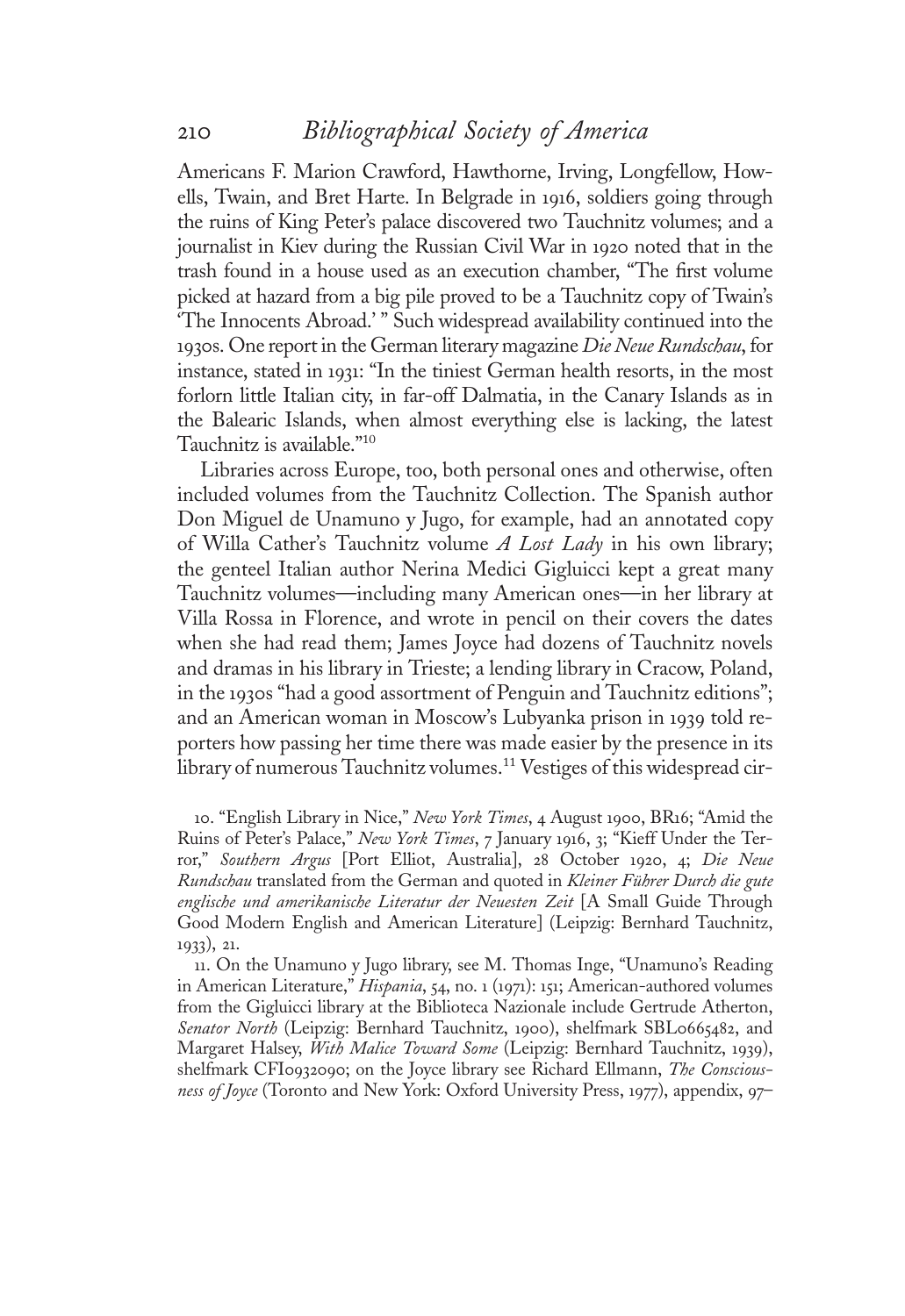Americans F. Marion Crawford, Hawthorne, Irving, Longfellow, Howells, Twain, and Bret Harte. In Belgrade in <sup>1</sup>916, soldiers going through the ruins of King Peter's palace discovered two Tauchnitz volumes; and a journalist in Kiev during the Russian Civil War in <sup>1</sup>920 noted that in the trash found in a house used as an execution chamber, "The first volume picked at hazard from a big pile proved to be a Tauchnitz copy of Twain's 'The Innocents Abroad.' " Such widespread availability continued into the 1930s. One report in the German literary magazine Die Neue Rundschau, for instance, stated in <sup>1</sup>931: "In the tiniest German health resorts, in the most forlorn little Italian city, in far-off Dalmatia, in the Canary Islands as in the Balearic Islands, when almost everything else is lacking, the latest Tauchnitz is available." 10

Libraries across Europe, too, both personal ones and otherwise, often included volumes from the Tauchnitz Collection. The Spanish author Don Miguel de Unamuno y Jugo, for example, had an annotated copy of Willa Cather's Tauchnitz volume  $A$  Lost Lady in his own library; the genteel Italian author Nerina Medici Gigluicci kept a great many Tauchnitz volumes—including many American ones—in her library at Villa Rossa in Florence, and wrote in pencil on their covers the dates when she had read them; James Joyce had dozens of Tauchnitz novels and dramas in his library in Trieste; a lending library in Cracow, Poland, in the <sup>1</sup>930<sup>s</sup> "had a good assortment of Penguin and Tauchnitz editions"; and an American woman in Moscow's Lubyanka prison in <sup>1</sup>939 told reporters how passing her time there was made easier by the presence in its library of numerous Tauchnitz volumes.<sup>11</sup> Vestiges of this widespread cir-

<sup>1</sup>0. "English Library in Nice," New York Times, 4 August <sup>1</sup>900, BR16; "Amid the Ruins of Peter's Palace," New York Times, 7 January 1916, 3; "Kieff Under the Terror," Southern Argus [Port Elliot, Australia], 28 October <sup>1</sup>920, 4; Die Neue Rundschau translated from the German and quoted in Kleiner Führer Durch die gute englische und amerikanische Literatur der Neuesten Zeit [A Small Guide Through Good Modern English and American Literature] (Leipzig: Bernhard Tauchnitz, <sup>1</sup>933), 21.

11. On the Unamuno y Jugo library, see M. Thomas Inge, "Unamuno's Reading in American Literature," Hispania, 54, no. 1 (1971): 151; American-authored volumes from the Gigluicci library at the Biblioteca Nazionale include Gertrude Atherton, Senator North (Leipzig: Bernhard Tauchnitz, 1900), shelfmark SBL0665482, and Margaret Halsey, With Malice Toward Some (Leipzig: Bernhard Tauchnitz, 1939), shelfmark CFI0932090; on the Joyce library see Richard Ellmann, The Consciousness of Joyce (Toronto and New York: Oxford University Press, <sup>1</sup>977), appendix, 97–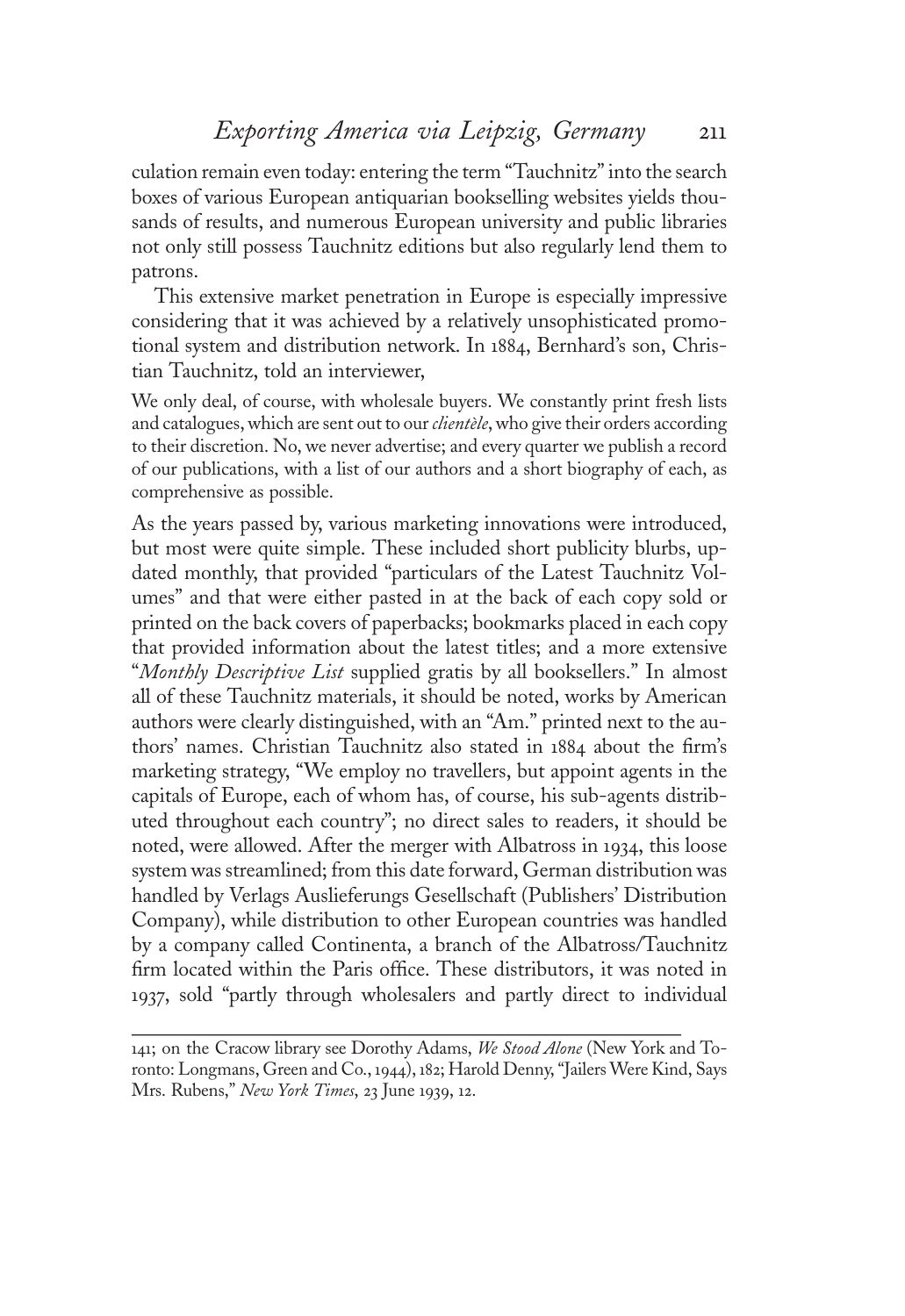culation remain even today: entering the term "Tauchnitz"into the search boxes of various European antiquarian bookselling websites yields thousands of results, and numerous European university and public libraries not only still possess Tauchnitz editions but also regularly lend them to patrons.

This extensive market penetration in Europe is especially impressive considering that it was achieved by a relatively unsophisticated promotional system and distribution network. In <sup>1</sup>884, Bernhard's son, Christian Tauchnitz, told an interviewer,

We only deal, of course, with wholesale buyers. We constantly print fresh lists and catalogues, which are sent out to our *clientèle*, who give their orders according to their discretion. No, we never advertise; and every quarter we publish a record of our publications, with a list of our authors and a short biography of each, as comprehensive as possible.

As the years passed by, various marketing innovations were introduced, but most were quite simple. These included short publicity blurbs, updated monthly, that provided "particulars of the Latest Tauchnitz Volumes" and that were either pasted in at the back of each copy sold or printed on the back covers of paperbacks; bookmarks placed in each copy that provided information about the latest titles; and a more extensive "Monthly Descriptive List supplied gratis by all booksellers." In almost all of these Tauchnitz materials, it should be noted, works by American authors were clearly distinguished, with an "Am." printed next to the authors' names. Christian Tauchnitz also stated in <sup>1</sup>884 about the firm'<sup>s</sup> marketing strategy, "We employ no travellers, but appoint agents in the capitals of Europe, each of whom has, of course, his sub-agents distributed throughout each country"; no direct sales to readers, it should be noted, were allowed. After the merger with Albatross in <sup>1</sup>934, this loose system was streamlined; from this date forward, German distribution was handled by Verlags Auslieferungs Gesellschaft (Publishers' Distribution Company), while distribution to other European countries was handled by a company called Continenta, a branch of the Albatross/Tauchnitz firm located within the Paris office. These distributors, it was noted in <sup>1</sup>937, sold "partly through wholesalers and partly direct to individual

<sup>141;</sup> on the Cracow library see Dorothy Adams, We Stood Alone (New York and Toronto: Longmans, Green and Co., <sup>1</sup>944), <sup>1</sup>82; Harold Denny, "Jailers Were Kind, Says Mrs. Rubens," New York Times, 23 June 1939, 12.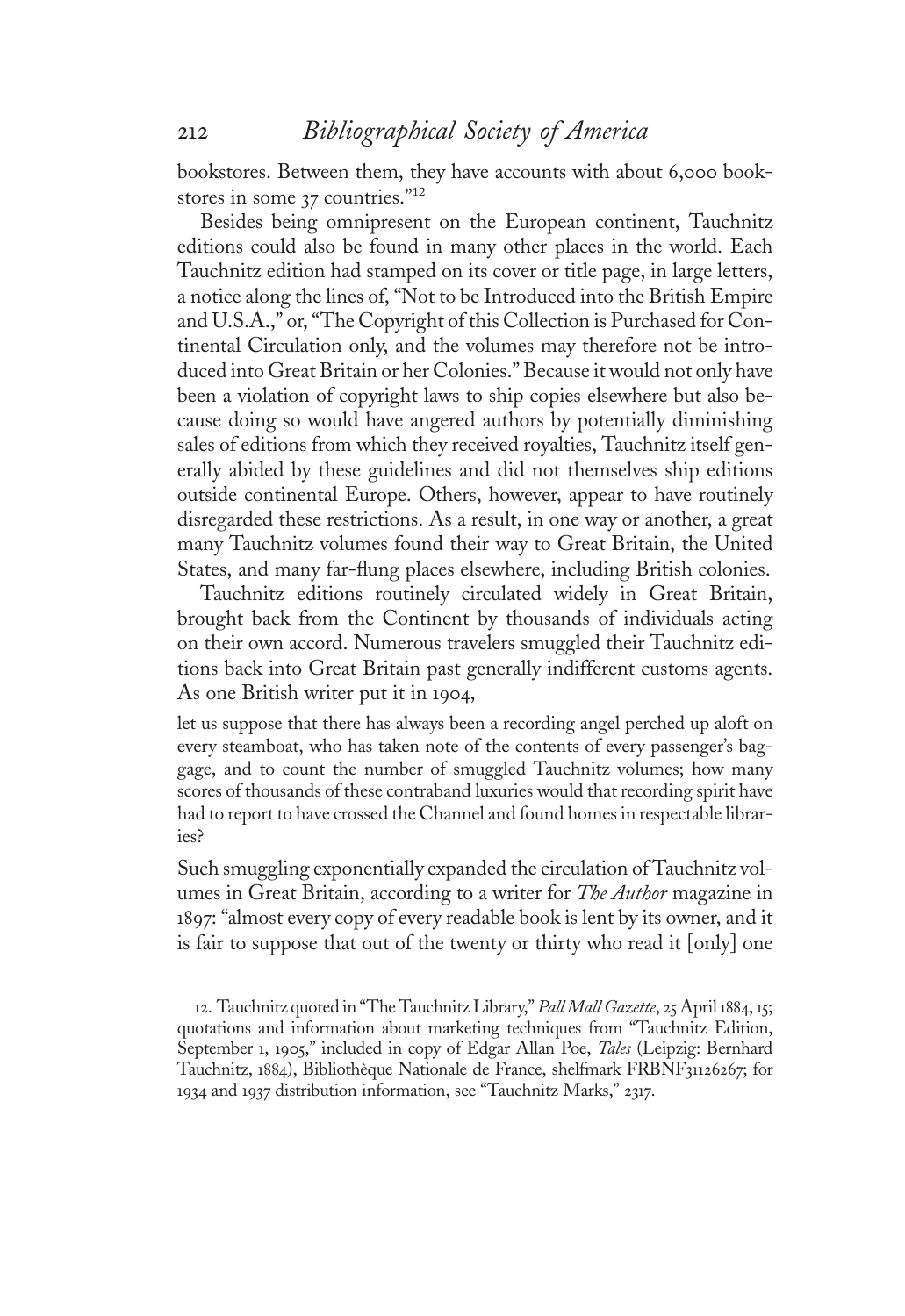bookstores. Between them, they have accounts with about 6,000 bookstores in some 37 countries."<sup>12</sup><br>Besides being omningsen

Besides being omnipresent on the European continent, Tauchnitz editions could also be found in many other places in the world. Each Tauchnitz edition had stamped on its cover or title page, in large letters, a notice along the lines of, "Not to be Introduced into the British Empire and U.S.A.," or, "The Copyright of this Collection is Purchased for Continental Circulation only, and the volumes may therefore not be introduced into Great Britain or her Colonies." Because it would not only have been a violation of copyright laws to ship copies elsewhere but also because doing so would have angered authors by potentially diminishing sales of editions from which they received royalties, Tauchnitz itself generally abided by these guidelines and did not themselves ship editions outside continental Europe. Others, however, appear to have routinely disregarded these restrictions. As a result, in one way or another, a great many Tauchnitz volumes found their way to Great Britain, the United States, and many far-flung places elsewhere, including British colonies.

Tauchnitz editions routinely circulated widely in Great Britain, brought back from the Continent by thousands of individuals acting on their own accord. Numerous travelers smuggled their Tauchnitz editions back into Great Britain past generally indifferent customs agents. As one British writer put it in <sup>1</sup>904,

let us suppose that there has always been a recording angel perched up aloft on every steamboat, who has taken note of the contents of every passenger's baggage, and to count the number of smuggled Tauchnitz volumes; how many scores of thousands of these contraband luxuries would that recording spirit have had to report to have crossed the Channel and found homes in respectable libraries?

Such smuggling exponentially expanded the circulation of Tauchnitz volumes in Great Britain, according to a writer for *The Author* magazine in <sup>1</sup>897: "almost every copy of every readable book is lent by its owner, and it is fair to suppose that out of the twenty or thirty who read it [only] one

<sup>1</sup>2. Tauchnitz quoted in "The Tauchnitz Library," Pall Mall Gazette, 25 April <sup>1</sup>884, <sup>1</sup>5; quotations and information about marketing techniques from "Tauchnitz Edition, September 1, 1905," included in copy of Edgar Allan Poe, Tales (Leipzig: Bernhard Tauchnitz, <sup>1</sup>884), Bibliothèque Nationale de France, shelfmark FRBNF31126267; for <sup>1</sup>934 and <sup>1</sup>937 distribution information, see "Tauchnitz Marks," 2317.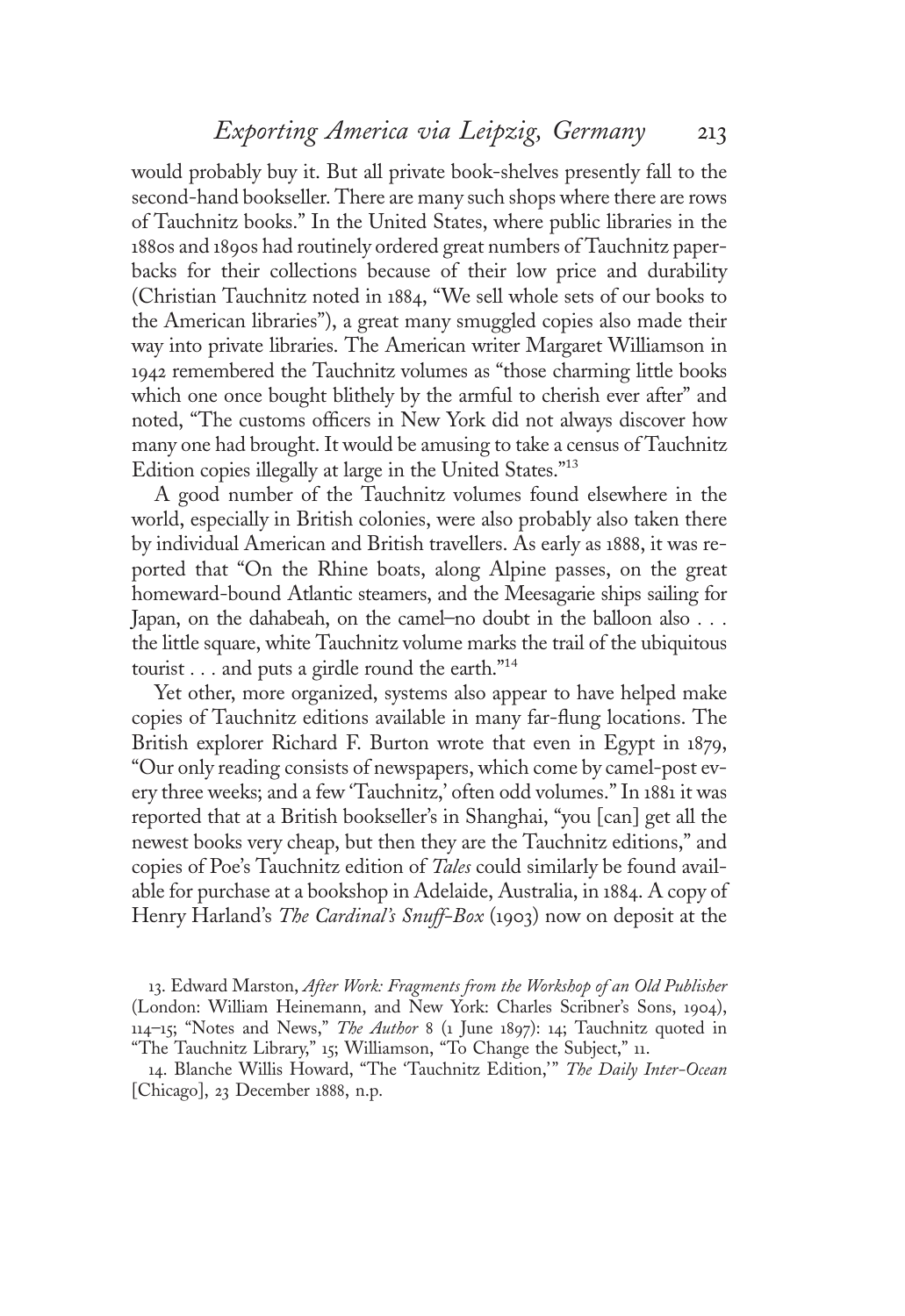would probably buy it. But all private book-shelves presently fall to the second-hand bookseller. There are many such shops where there are rows of Tauchnitz books." In the United States, where public libraries in the <sup>1</sup>880s and <sup>1</sup>890s had routinely ordered great numbers of Tauchnitz paperbacks for their collections because of their low price and durability (Christian Tauchnitz noted in <sup>1</sup>884, "We sell whole sets of our books to the American libraries"), a great many smuggled copies also made their way into private libraries. The American writer Margaret Williamson in <sup>1</sup>942 remembered the Tauchnitz volumes as "those charming little books which one once bought blithely by the armful to cherish ever after" and noted, "The customs officers in New York did not always discover how many one had brought. It would be amusing to take a census of Tauchnitz Edition copies illegally at large in the United States." 13

A good number of the Tauchnitz volumes found elsewhere in the world, especially in British colonies, were also probably also taken there by individual American and British travellers. As early as <sup>1</sup>888, it was reported that "On the Rhine boats, along Alpine passes, on the great homeward-bound Atlantic steamers, and the Meesagarie ships sailing for Japan, on the dahabeah, on the camel–no doubt in the balloon also ... the little square, white Tauchnitz volume marks the trail of the ubiquitous tourist ... and puts a girdle round the earth." 14

Yet other, more organized, systems also appear to have helped make copies of Tauchnitz editions available in many far-flung locations. The British explorer Richard F. Burton wrote that even in Egypt in <sup>1</sup>879, "Our only reading consists of newspapers, which come by camel-post every three weeks; and a few 'Tauchnitz,' often odd volumes." In <sup>1</sup>88<sup>1</sup> it was reported that at a British bookseller's in Shanghai, "you [can] get all the newest books very cheap, but then they are the Tauchnitz editions," and copies of Poe's Tauchnitz edition of Tales could similarly be found available for purchase at a bookshop in Adelaide, Australia, in <sup>1</sup>884. A copy of Henry Harland's The Cardinal's Snuff-Box (1903) now on deposit at the

13. Edward Marston, After Work: Fragments from the Workshop of an Old Publisher (London: William Heinemann, and New York: Charles Scribner's Sons, <sup>1</sup>904), 114–15; "Notes and News," The Author 8 (1 June 1897): 14; Tauchnitz quoted in "The Tauchnitz Library," <sup>1</sup>5; Williamson, "To Change the Subject," <sup>11</sup>.

14. Blanche Willis Howard, "The 'Tauchnitz Edition," The Daily Inter-Ocean [Chicago], 23 December <sup>1</sup>888, n.p.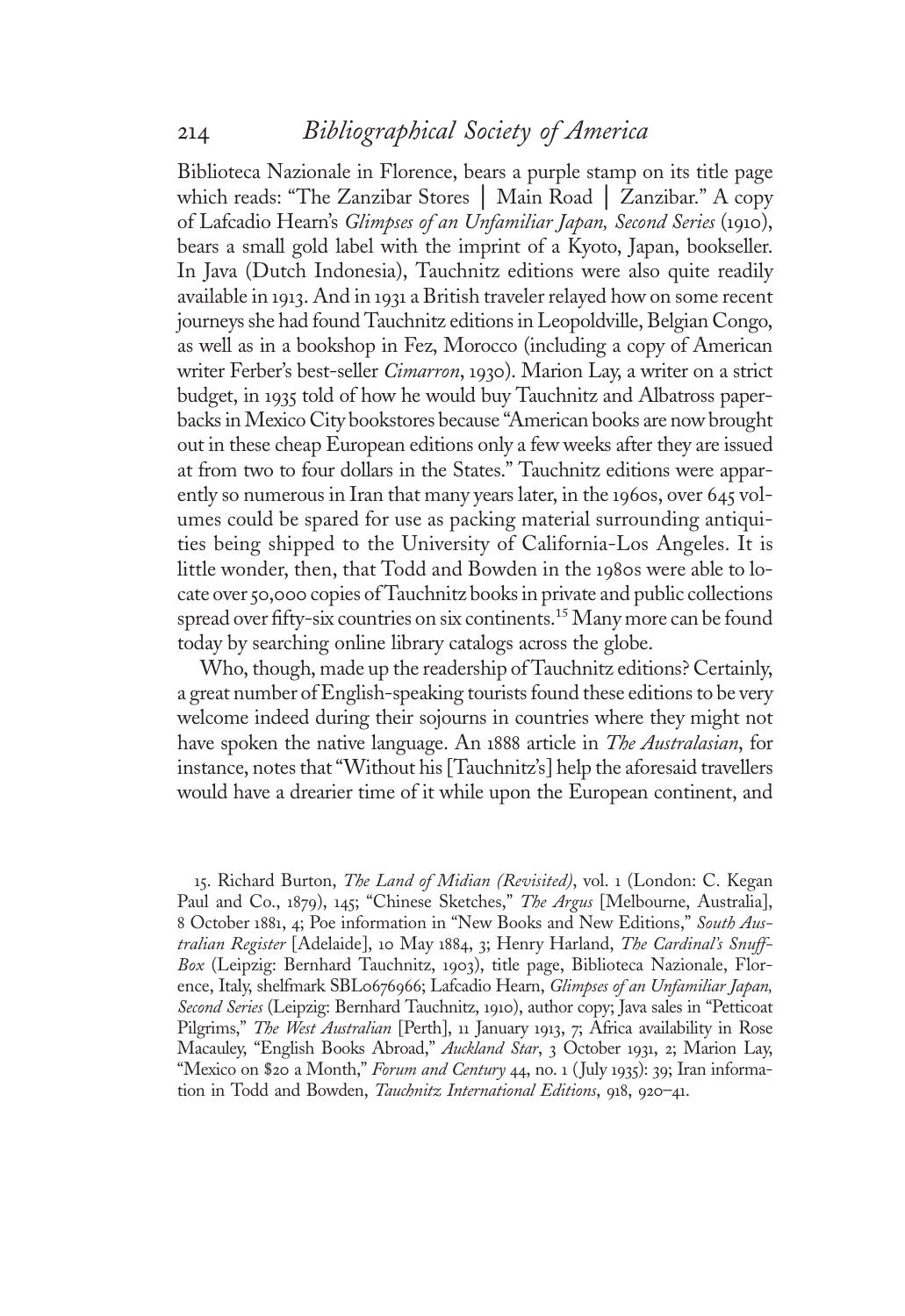Biblioteca Nazionale in Florence, bears a purple stamp on its title page which reads: "The Zanzibar Stores │ Main Road │ Zanzibar." A copy of Lafcadio Hearn'<sup>s</sup> Glimpses of an Unfamiliar Japan, Second Series (1910), bears a small gold label with the imprint of a Kyoto, Japan, bookseller. In Java (Dutch Indonesia), Tauchnitz editions were also quite readily available in <sup>1</sup>913. And in <sup>1</sup>93<sup>1</sup> a British traveler relayed how on some recent journeys she had found Tauchnitz editions in Leopoldville, Belgian Congo, as well as in a bookshop in Fez, Morocco (including a copy of American writer Ferber's best-seller Cimarron, 1930). Marion Lay, a writer on a strict budget, in <sup>1</sup>935 told of how he would buy Tauchnitz and Albatross paperbacks inMexico City bookstores because "American books are now brought out in these cheap European editions only a few weeks after they are issued at from two to four dollars in the States." Tauchnitz editions were apparently so numerous in Iran that many years later, in the <sup>1</sup>960s, over 645 volumes could be spared for use as packing material surrounding antiquities being shipped to the University of California-Los Angeles. It is little wonder, then, that Todd and Bowden in the <sup>1</sup>980s were able to locate over 50,000 copies of Tauchnitz books in private and public collections spread over fifty-six countries on six continents.<sup>15</sup> Many more can be found today by searching online library catalogs across the globe.

Who, though, made up the readership of Tauchnitz editions? Certainly, a great number of English-speaking tourists found these editions to be very welcome indeed during their sojourns in countries where they might not have spoken the native language. An 1888 article in *The Australasian*, for instance, notes that"Without his [Tauchnitz's] help the aforesaid travellers would have a drearier time of it while upon the European continent, and

15. Richard Burton, The Land of Midian (Revisited), vol. 1 (London: C. Kegan Paul and Co., 1879), 145; "Chinese Sketches," The Argus [Melbourne, Australia], 8 October 1881, 4; Poe information in "New Books and New Editions," South Australian Register [Adelaide], 10 May 1884, 3; Henry Harland, The Cardinal's Snuff-Box (Leipzig: Bernhard Tauchnitz, <sup>1</sup>903), title page, Biblioteca Nazionale, Florence, Italy, shelfmark SBL0676966; Lafcadio Hearn, *Glimpses of an Unfamiliar Japan*, Second Series (Leipzig: Bernhard Tauchnitz, <sup>1</sup>910), author copy; Java sales in "Petticoat Pilgrims," The West Australian [Perth], 11 January 1913, 7; Africa availability in Rose Macauley, "English Books Abroad," Auckland Star, 3 October 1931, 2; Marion Lay, "Mexico on \$20 a Month," Forum and Century 44, no. 1 (July 1935): 39; Iran information in Todd and Bowden, *Tauchnitz International Editions*, 918, 920–41.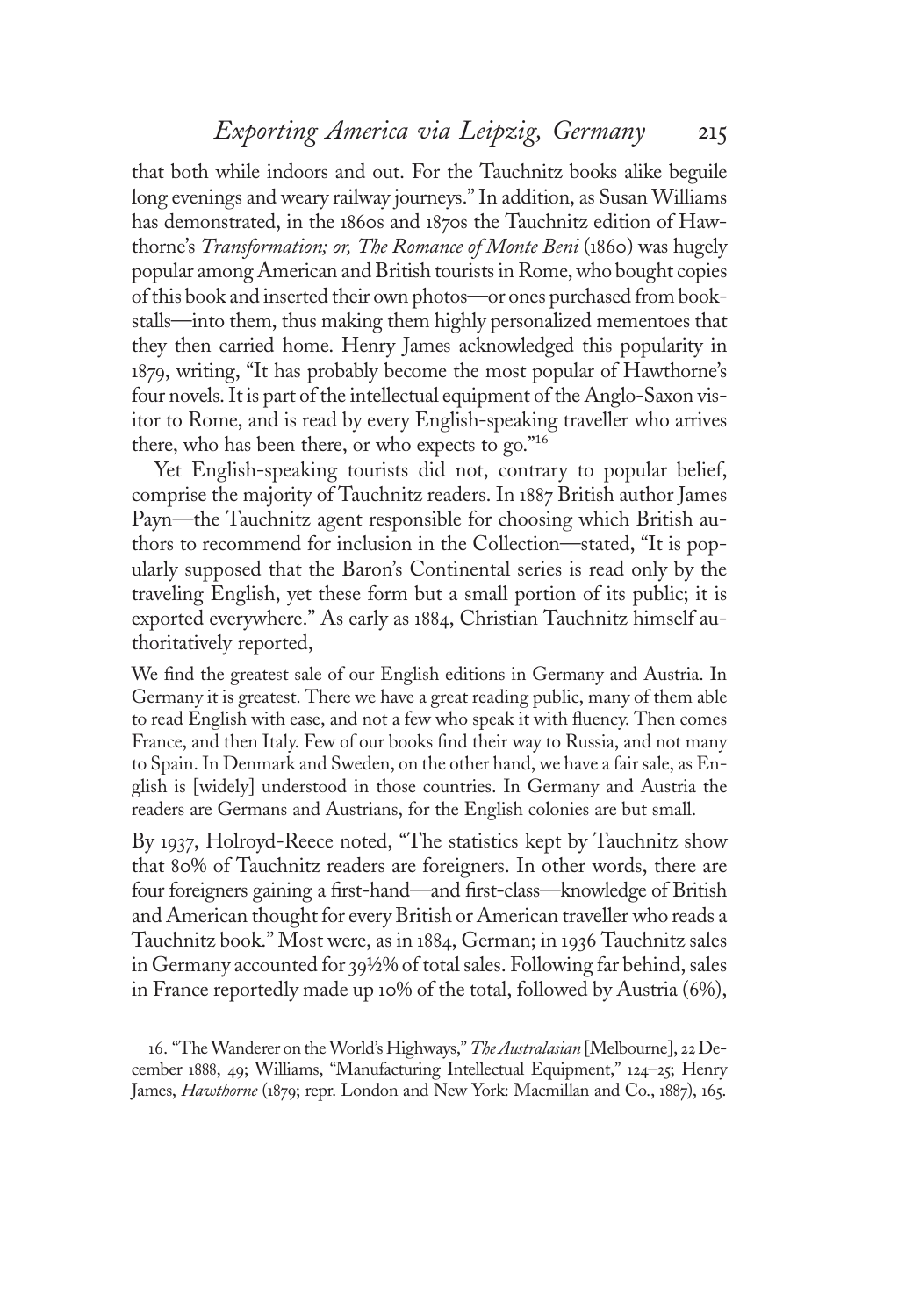## Exporting America via Leipzig, Germany 215

that both while indoors and out. For the Tauchnitz books alike beguile long evenings and weary railway journeys." In addition, as Susan Williams has demonstrated, in the <sup>1</sup>860s and <sup>1</sup>870s the Tauchnitz edition of Hawthorne'<sup>s</sup> Transformation; or, The Romance of Monte Beni (1860) was hugely popular among American and British tourists in Rome, who bought copies of this book and inserted their own photos—or ones purchased from bookstalls—into them, thus making them highly personalized mementoes that they then carried home. Henry James acknowledged this popularity in <sup>1</sup>879, writing, "It has probably become the most popular of Hawthorne'<sup>s</sup> four novels. It is part of the intellectual equipment of the Anglo-Saxon visitor to Rome, and is read by every English-speaking traveller who arrives there, who has been there, or who expects to go." 16

Yet English-speaking tourists did not, contrary to popular belief, comprise the majority of Tauchnitz readers. In <sup>1</sup>887 British author James Payn—the Tauchnitz agent responsible for choosing which British authors to recommend for inclusion in the Collection—stated, "It is popularly supposed that the Baron's Continental series is read only by the traveling English, yet these form but a small portion of its public; it is exported everywhere." As early as <sup>1</sup>884, Christian Tauchnitz himself authoritatively reported,

We find the greatest sale of our English editions in Germany and Austria. In Germany it is greatest. There we have a great reading public, many of them able to read English with ease, and not a few who speak it with fluency. Then comes France, and then Italy. Few of our books find their way to Russia, and not many to Spain. In Denmark and Sweden, on the other hand, we have a fair sale, as English is [widely] understood in those countries. In Germany and Austria the readers are Germans and Austrians, for the English colonies are but small.

By <sup>1</sup>937, Holroyd-Reece noted, "The statistics kept by Tauchnitz show that 80% of Tauchnitz readers are foreigners. In other words, there are four foreigners gaining a first-hand—and first-class—knowledge of British and American thought for every British or American traveller who reads a Tauchnitz book." Most were, as in <sup>1</sup>884, German; in <sup>1</sup>936 Tauchnitz sales in Germany accounted for  $39\frac{1}{2}\%$  of total sales. Following far behind, sales in France reportedly made up <sup>1</sup>0% of the total, followed by Austria (6%),

16. "The Wanderer on the World's Highways," The Australasian [Melbourne], 22 December <sup>1</sup>888, 49; Williams, "Manufacturing Intellectual Equipment," <sup>1</sup>24–25; Henry James, *Hawthorne* (1879; repr. London and New York: Macmillan and Co., 1887), 165.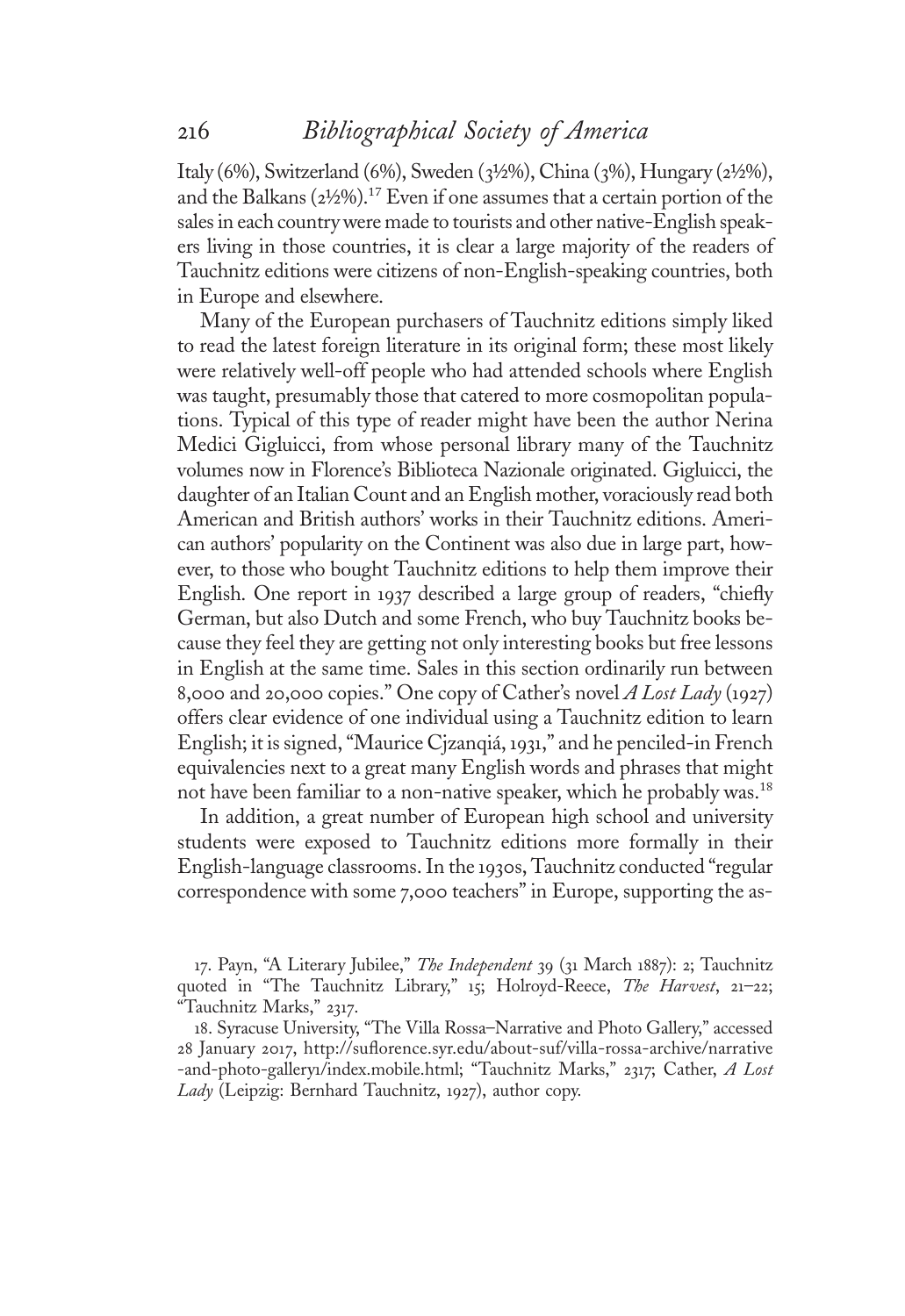Italy (6%), Switzerland (6%), Sweden (3½%), China (3%), Hungary (2½%), and the Balkans (2½%).17 Even if one assumes that a certain portion of the sales in each country were made to tourists and other native-English speakers living in those countries, it is clear a large majority of the readers of Tauchnitz editions were citizens of non-English-speaking countries, both in Europe and elsewhere.

Many of the European purchasers of Tauchnitz editions simply liked to read the latest foreign literature in its original form; these most likely were relatively well-off people who had attended schools where English was taught, presumably those that catered to more cosmopolitan populations. Typical of this type of reader might have been the author Nerina Medici Gigluicci, from whose personal library many of the Tauchnitz volumes now in Florence's Biblioteca Nazionale originated. Gigluicci, the daughter of an Italian Count and an English mother, voraciously read both American and British authors' works in their Tauchnitz editions. American authors' popularity on the Continent was also due in large part, however, to those who bought Tauchnitz editions to help them improve their English. One report in <sup>1</sup>937 described a large group of readers, "chiefl<sup>y</sup> German, but also Dutch and some French, who buy Tauchnitz books because they feel they are getting not only interesting books but free lessons in English at the same time. Sales in this section ordinarily run between 8,000 and 20,000 copies." One copy of Cather's novel A Lost Lady (1927) offers clear evidence of one individual using a Tauchnitz edition to learn English; it is signed, "Maurice Cjzanqiá, <sup>1</sup>931," and he penciled-in French equivalencies next to a great many English words and phrases that might not have been familiar to a non-native speaker, which he probably was.<sup>18</sup>

In addition, a great number of European high school and university students were exposed to Tauchnitz editions more formally in their English-language classrooms. In the <sup>1</sup>930s, Tauchnitz conducted "regular correspondence with some 7,000 teachers" in Europe, supporting the as-

17. Payn, "A Literary Jubilee," The Independent 39 (31 March 1887): 2; Tauchnitz quoted in "The Tauchnitz Library," 15; Holroyd-Reece, The Harvest, 21-22; "Tauchnitz Marks," 2317.

<sup>1</sup>8. Syracuse University, "The Villa Rossa–Narrative and Photo Gallery," accessed 28 January 2017, http://suflorence.syr.edu/about-suf/villa-rossa-archive/narrative -and-photo-gallery1/index.mobile.html; "Tauchnitz Marks," 2317; Cather, A Lost Lady (Leipzig: Bernhard Tauchnitz, 1927), author copy.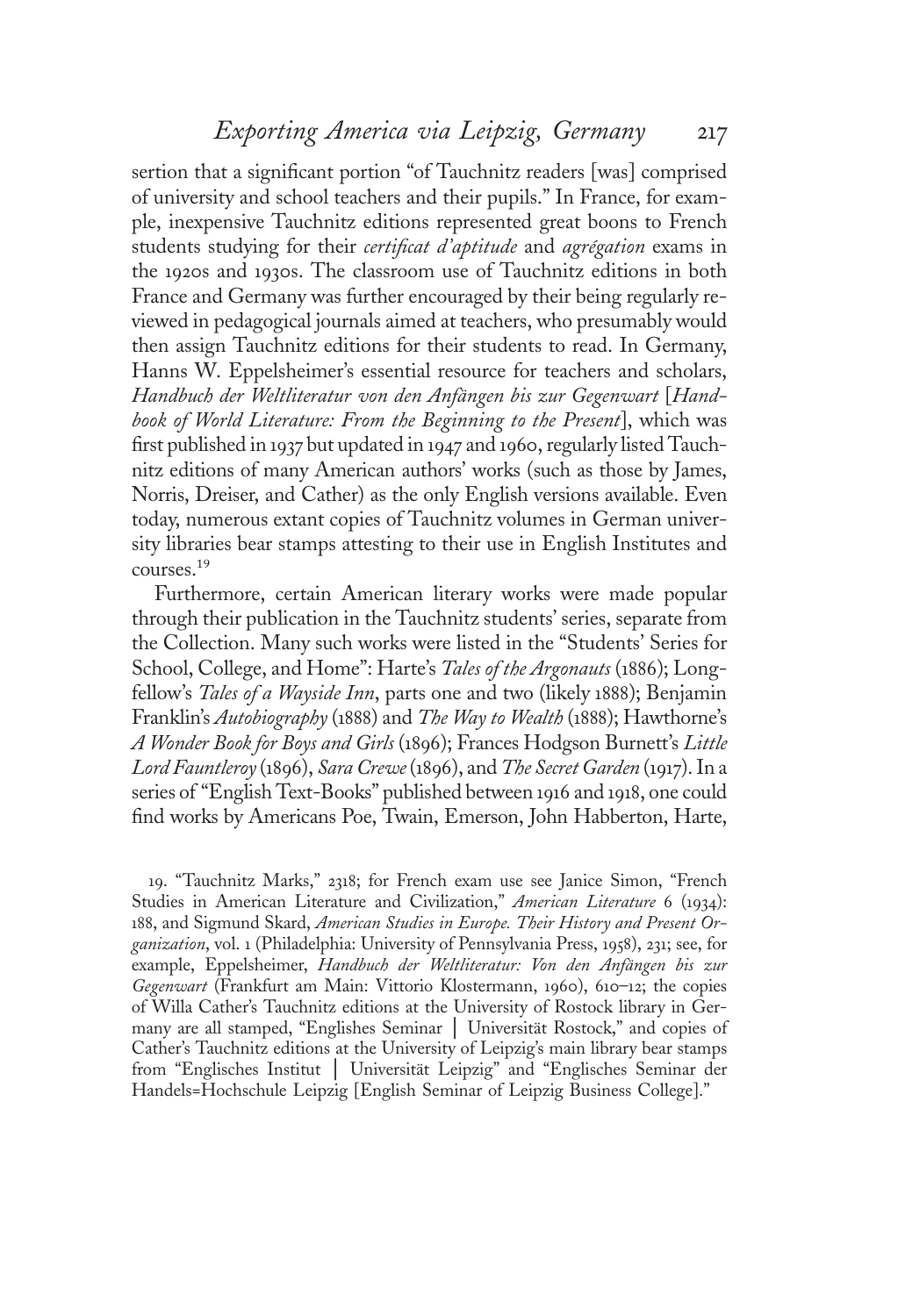sertion that a significant portion "of Tauchnitz readers [was] comprised of university and school teachers and their pupils." In France, for example, inexpensive Tauchnitz editions represented great boons to French students studying for their *certificat d'aptitude* and *agrégation* exams in the <sup>1</sup>920s and <sup>1</sup>930s. The classroom use of Tauchnitz editions in both France and Germany was further encouraged by their being regularly reviewed in pedagogical journals aimed at teachers, who presumably would then assign Tauchnitz editions for their students to read. In Germany, Hanns W. Eppelsheimer's essential resource for teachers and scholars, Handbuch der Weltliteratur von den Anfängen bis zur Gegenwart [Handbook of World Literature: From the Beginning to the Present], which was first published in <sup>1</sup>937 but updated in <sup>1</sup>947 and <sup>1</sup>960, regularly listed Tauchnitz editions of many American authors' works (such as those by James, Norris, Dreiser, and Cather) as the only English versions available. Even today, numerous extant copies of Tauchnitz volumes in German university libraries bear stamps attesting to their use in English Institutes and courses.19

Furthermore, certain American literary works were made popular through their publication in the Tauchnitz students' series, separate from the Collection. Many such works were listed in the "Students' Series for School, College, and Home": Harte's *Tales of the Argonauts* (1886); Longfellow'<sup>s</sup> Tales of a Wayside Inn, parts one and two (likely <sup>1</sup>888); Benjamin Franklin's Autobiography (1888) and The Way to Wealth (1888); Hawthorne's A Wonder Book for Boys and Girls (1896); Frances Hodgson Burnett'<sup>s</sup> Little Lord Fauntleroy (1896), Sara Crewe(1896), and The Secret Garden (1917). In a series of "English Text-Books" published between <sup>1</sup>916 and <sup>1</sup>918, one could find works by Americans Poe, Twain, Emerson, John Habberton, Harte,

<sup>1</sup>9. "Tauchnitz Marks," 2318; for French exam use see Janice Simon, "French Studies in American Literature and Civilization," American Literature 6 (1934): 188, and Sigmund Skard, American Studies in Europe. Their History and Present Organization, vol. <sup>1</sup> (Philadelphia: University of Pennsylvania Press, <sup>1</sup>958), 231; see, for example, Eppelsheimer, Handbuch der Weltliteratur: Von den Anfängen bis zur Gegenwart (Frankfurt am Main: Vittorio Klostermann, 1960), 610–12; the copies of Willa Cather's Tauchnitz editions at the University of Rostock library in Germany are all stamped, "Englishes Seminar │ Universität Rostock," and copies of Cather's Tauchnitz editions at the University of Leipzig's main library bear stamps from "Englisches Institut │ Universität Leipzig" and "Englisches Seminar der Handels=Hochschule Leipzig [English Seminar of Leipzig Business College]."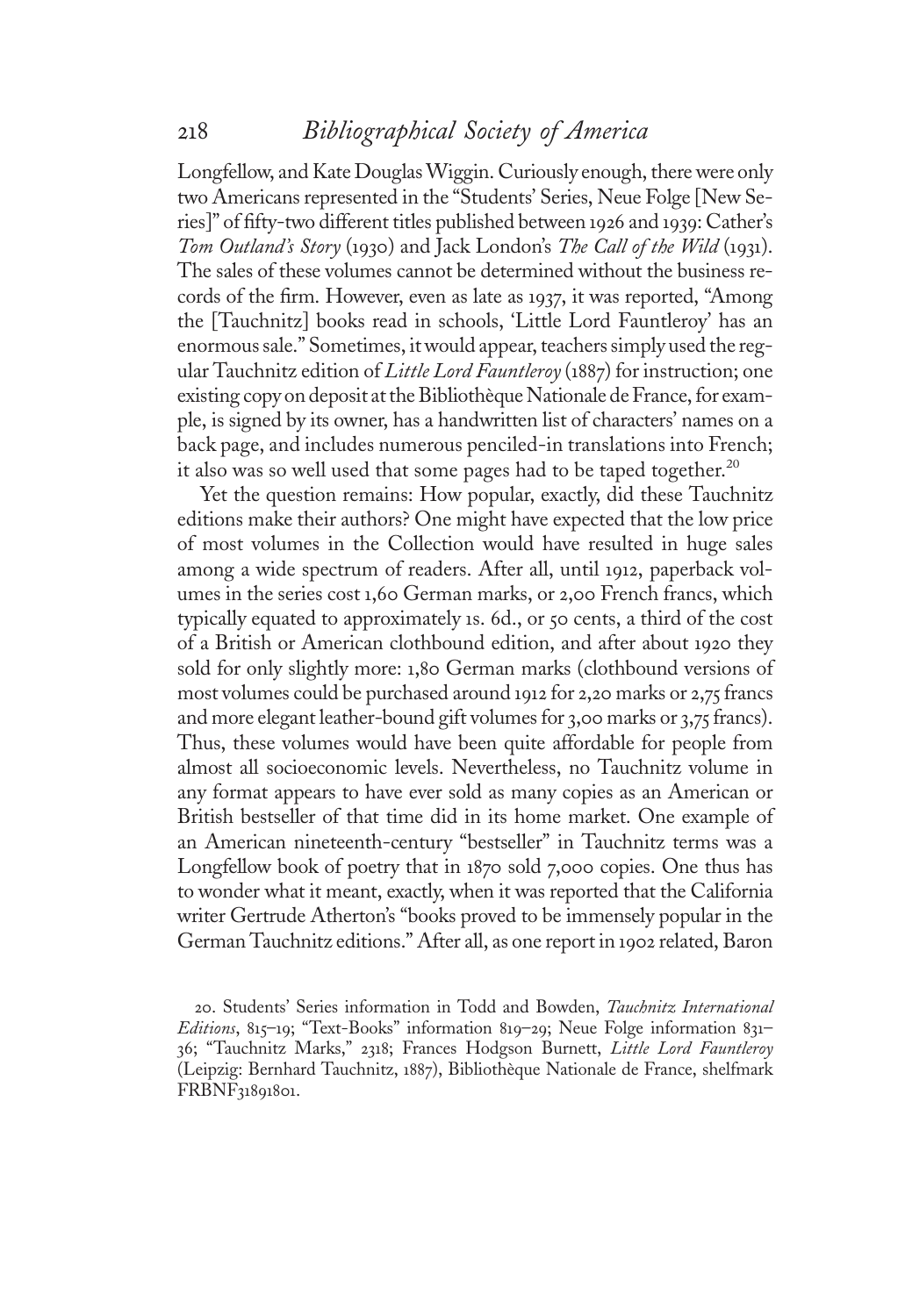Longfellow, and Kate DouglasWiggin. Curiously enough, there were only two Americans represented in the "Students' Series, Neue Folge [New Series]" of fifty-two different titles published between <sup>1</sup>926 and <sup>1</sup>939: Cather'<sup>s</sup> Tom Outland's Story (1930) and Jack London's The Call of the Wild (1931). The sales of these volumes cannot be determined without the business records of the firm. However, even as late as <sup>1</sup>937, it was reported, "Among the [Tauchnitz] books read in schools, 'Little Lord Fauntleroy' has an enormous sale." Sometimes, it would appear, teachers simply used the regular Tauchnitz edition of Little Lord Fauntleroy (1887) for instruction; one existing copy on deposit at the Bibliothèque Nationale de France, for example, is signed by its owner, has a handwritten list of characters' names on a back page, and includes numerous penciled-in translations into French; it also was so well used that some pages had to be taped together.<sup>20</sup>

Yet the question remains: How popular, exactly, did these Tauchnitz editions make their authors? One might have expected that the low price of most volumes in the Collection would have resulted in huge sales among a wide spectrum of readers. After all, until <sup>1</sup>912, paperback volumes in the series cost <sup>1</sup>,60 German marks, or 2,00 French francs, which typically equated to approximately <sup>1</sup>s. 6d., or 50 cents, a third of the cost of a British or American clothbound edition, and after about <sup>1</sup>920 they sold for only slightly more: <sup>1</sup>,80 German marks (clothbound versions of most volumes could be purchased around <sup>1</sup>912 for 2,20 marks or 2,75 francs and more elegant leather-bound gift volumes for 3,00 marks or 3,75 francs). Thus, these volumes would have been quite affordable for people from almost all socioeconomic levels. Nevertheless, no Tauchnitz volume in any format appears to have ever sold as many copies as an American or British bestseller of that time did in its home market. One example of an American nineteenth-century "bestseller" in Tauchnitz terms was a Longfellow book of poetry that in <sup>1</sup>870 sold 7,000 copies. One thus has to wonder what it meant, exactly, when it was reported that the California writer Gertrude Atherton's "books proved to be immensely popular in the German Tauchnitz editions." After all, as one report in <sup>1</sup>902 related, Baron

20. Students' Series information in Todd and Bowden, Tauchnitz International Editions, 815-19; "Text-Books" information 819-29; Neue Folge information 831-36; "Tauchnitz Marks," 2318; Frances Hodgson Burnett, Little Lord Fauntleroy (Leipzig: Bernhard Tauchnitz, <sup>1</sup>887), Bibliothèque Nationale de France, shelfmark FRBNF31891801.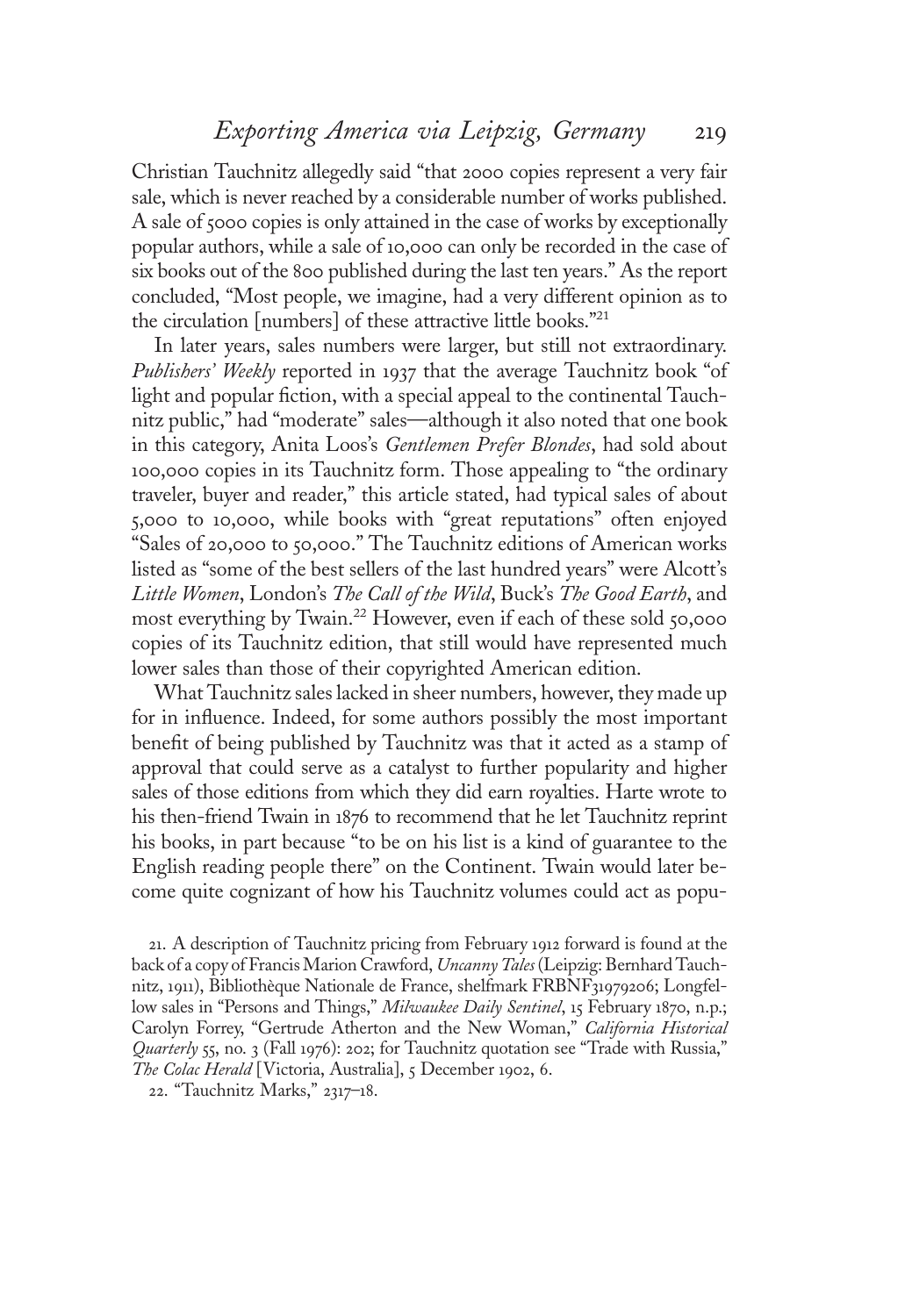Christian Tauchnitz allegedly said "that 2000 copies represent a very fair sale, which is never reached by a considerable number of works published. A sale of 5000 copies is only attained in the case of works by exceptionally popular authors, while a sale of <sup>1</sup>0,000 can only be recorded in the case of six books out of the 800 published during the last ten years." As the report concluded, "Most people, we imagine, had a very different opinion as to the circulation [numbers] of these attractive little books." 21

In later years, sales numbers were larger, but still not extraordinary. Publishers' Weekly reported in 1937 that the average Tauchnitz book "of light and popular fiction, with a special appeal to the continental Tauchnitz public," had "moderate" sales—although it also noted that one book in this category, Anita Loos's Gentlemen Prefer Blondes, had sold about <sup>1</sup>00,000 copies in its Tauchnitz form. Those appealing to "the ordinary traveler, buyer and reader," this article stated, had typical sales of about 5,000 to <sup>1</sup>0,000, while books with "great reputations" often enjoyed "Sales of 20,000 to 50,000." The Tauchnitz editions of American works listed as "some of the best sellers of the last hundred years" were Alcott's Little Women, London's The Call of the Wild, Buck's The Good Earth, and most everything by Twain.<sup>22</sup> However, even if each of these sold 50,000 copies of its Tauchnitz edition, that still would have represented much lower sales than those of their copyrighted American edition.

What Tauchnitz sales lacked in sheer numbers, however, they made up for in influence. Indeed, for some authors possibly the most important benefit of being published by Tauchnitz was that it acted as a stamp of approval that could serve as a catalyst to further popularity and higher sales of those editions from which they did earn royalties. Harte wrote to his then-friend Twain in <sup>1</sup>876 to recommend that he let Tauchnitz reprint his books, in part because "to be on his list is a kind of guarantee to the English reading people there" on the Continent. Twain would later become quite cognizant of how his Tauchnitz volumes could act as popu-

21. A description of Tauchnitz pricing from February <sup>1</sup>912 forward is found at the back of a copy of Francis Marion Crawford, Uncanny Tales (Leipzig: Bernhard Tauchnitz, <sup>1</sup>911), Bibliothèque Nationale de France, shelfmark FRBNF31979206; Longfellow sales in "Persons and Things," Milwaukee Daily Sentinel, 15 February 1870, n.p.; Carolyn Forrey, "Gertrude Atherton and the New Woman," California Historical Quarterly 55, no. 3 (Fall 1976): 202; for Tauchnitz quotation see "Trade with Russia," The Colac Herald [Victoria, Australia], 5 December 1902, 6.

22. "Tauchnitz Marks," 2317–18.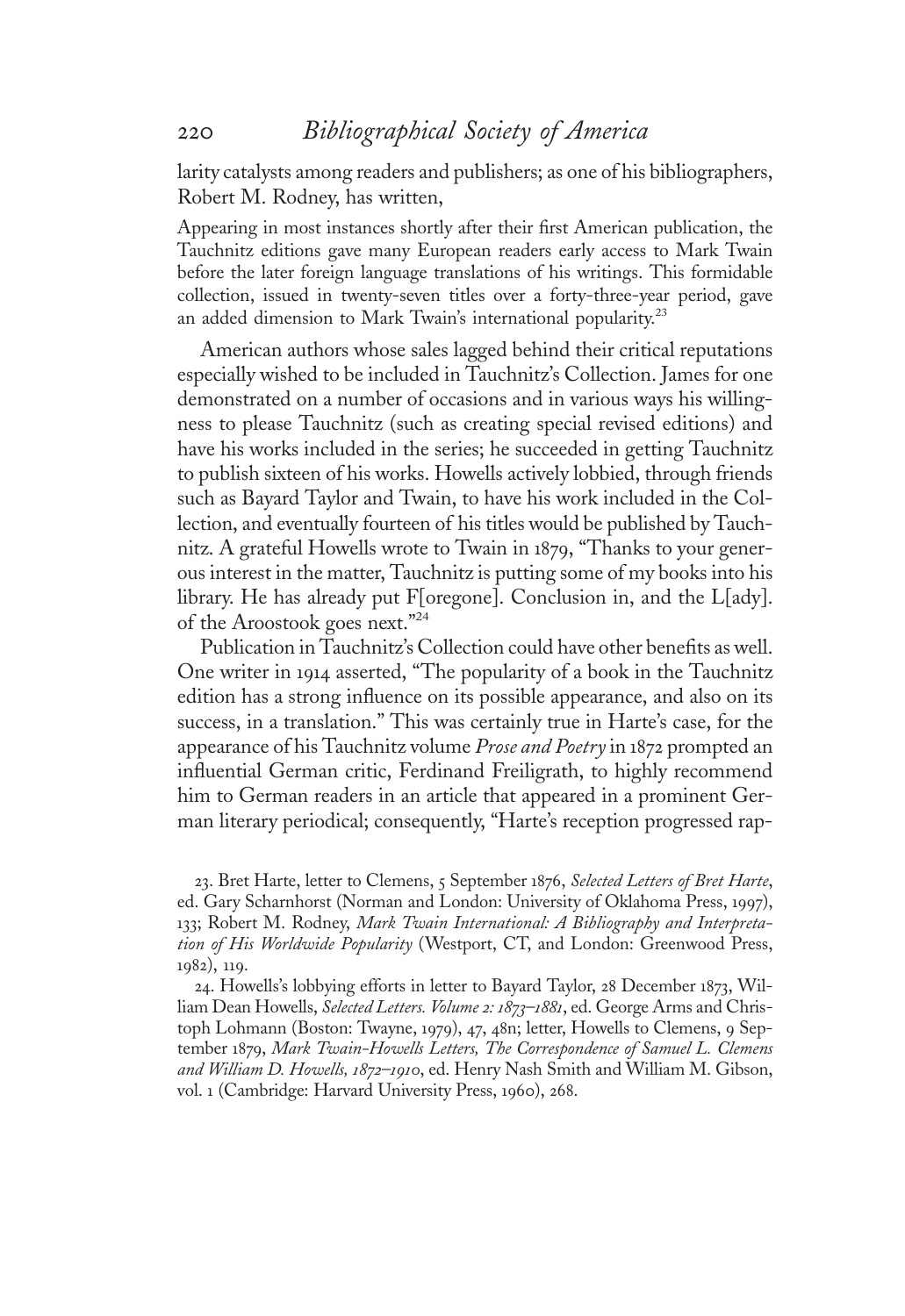larity catalysts among readers and publishers; as one of his bibliographers, Robert M. Rodney, has written,

Appearing in most instances shortly after their first American publication, the Tauchnitz editions gave many European readers early access to Mark Twain before the later foreign language translations of his writings. This formidable collection, issued in twenty-seven titles over a forty-three-year period, gave an added dimension to Mark Twain's international popularity.<sup>23</sup>

American authors whose sales lagged behind their critical reputations especially wished to be included in Tauchnitz's Collection. James for one demonstrated on a number of occasions and in various ways his willingness to please Tauchnitz (such as creating special revised editions) and have his works included in the series; he succeeded in getting Tauchnitz to publish sixteen of his works. Howells actively lobbied, through friends such as Bayard Taylor and Twain, to have his work included in the Collection, and eventually fourteen of his titles would be published by Tauchnitz. A grateful Howells wrote to Twain in <sup>1</sup>879, "Thanks to your generous interest in the matter, Tauchnitz is putting some of my books into his library. He has already put F[oregone]. Conclusion in, and the L[ady]. of the Aroostook goes next." 24

Publication in Tauchnitz's Collection could have other benefits as well. One writer in <sup>1</sup>914 asserted, "The popularity of a book in the Tauchnitz edition has a strong influence on its possible appearance, and also on its success, in a translation." This was certainly true in Harte's case, for the appearance of his Tauchnitz volume Prose and Poetry in 1872 prompted an influential German critic, Ferdinand Freiligrath, to highly recommend him to German readers in an article that appeared in a prominent German literary periodical; consequently, "Harte's reception progressed rap-

23. Bret Harte, letter to Clemens, 5 September 1876, Selected Letters of Bret Harte, ed. Gary Scharnhorst (Norman and London: University of Oklahoma Press, <sup>1</sup>997), 133; Robert M. Rodney, Mark Twain International: A Bibliography and Interpretation of His Worldwide Popularity (Westport, CT, and London: Greenwood Press, <sup>1</sup>982), <sup>11</sup>9.

24. Howells's lobbying efforts in letter to Bayard Taylor, 28 December <sup>1</sup>873, William Dean Howells, Selected Letters. Volume 2: 1873-1881, ed. George Arms and Christoph Lohmann (Boston: Twayne, <sup>1</sup>979), 47, 48n; letter, Howells to Clemens, 9 September 1879, Mark Twain-Howells Letters, The Correspondence of Samuel L. Clemens and William D. Howells, 1872-1910, ed. Henry Nash Smith and William M. Gibson, vol. <sup>1</sup> (Cambridge: Harvard University Press, <sup>1</sup>960), 268.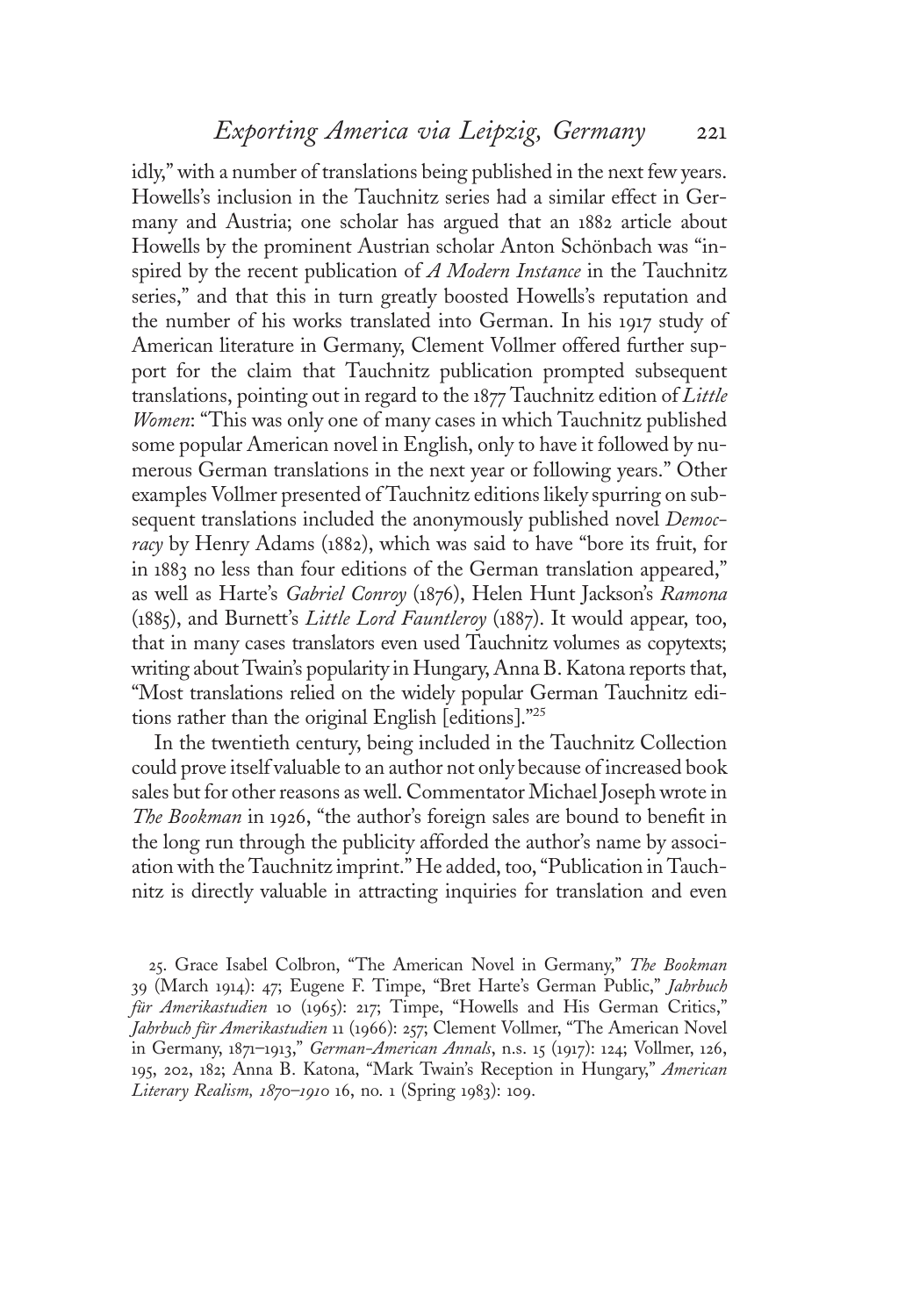idly," with a number of translations being published in the next few years. Howells's inclusion in the Tauchnitz series had a similar effect in Germany and Austria; one scholar has argued that an <sup>1</sup>882 article about Howells by the prominent Austrian scholar Anton Schönbach was "inspired by the recent publication of A Modern Instance in the Tauchnitz series," and that this in turn greatly boosted Howells's reputation and the number of his works translated into German. In his <sup>1</sup>917 study of American literature in Germany, Clement Vollmer offered further support for the claim that Tauchnitz publication prompted subsequent translations, pointing out in regard to the <sup>1</sup>877 Tauchnitz edition of Little Women: "This was only one of many cases in which Tauchnitz published some popular American novel in English, only to have it followed by numerous German translations in the next year or following years." Other examples Vollmer presented of Tauchnitz editions likely spurring on subsequent translations included the anonymously published novel *Democ*racy by Henry Adams (1882), which was said to have "bore its fruit, for in <sup>1</sup>883 no less than four editions of the German translation appeared," as well as Harte'<sup>s</sup> Gabriel Conroy (1876), Helen Hunt Jackson'<sup>s</sup> Ramona (1885), and Burnett'<sup>s</sup> Little Lord Fauntleroy (1887). It would appear, too, that in many cases translators even used Tauchnitz volumes as copytexts; writing about Twain's popularity in Hungary, Anna B. Katona reports that, "Most translations relied on the widely popular German Tauchnitz editions rather than the original English [editions]." 25

In the twentieth century, being included in the Tauchnitz Collection could prove itself valuable to an author not only because of increased book sales but for other reasons as well. Commentator Michael Joseph wrote in The Bookman in 1926, "the author's foreign sales are bound to benefit in the long run through the publicity afforded the author's name by association with the Tauchnitz imprint." He added, too,"Publication in Tauchnitz is directly valuable in attracting inquiries for translation and even

25. Grace Isabel Colbron, "The American Novel in Germany," The Bookman 39 (March <sup>1</sup>914): 47; Eugene F. Timpe, "Bret Harte's German Public," Jahrbuch für Amerikastudien 10 (1965): 217; Timpe, "Howells and His German Critics," Jahrbuch für Amerikastudien 11 (1966): 257; Clement Vollmer, "The American Novel in Germany, <sup>1</sup>871–1913," German-American Annals, n.s. <sup>1</sup>5 (1917): <sup>1</sup>24; Vollmer, <sup>1</sup>26, 195, 202, 182; Anna B. Katona, "Mark Twain's Reception in Hungary," American Literary Realism, 1870–1910 16, no. 1 (Spring 1983): 109.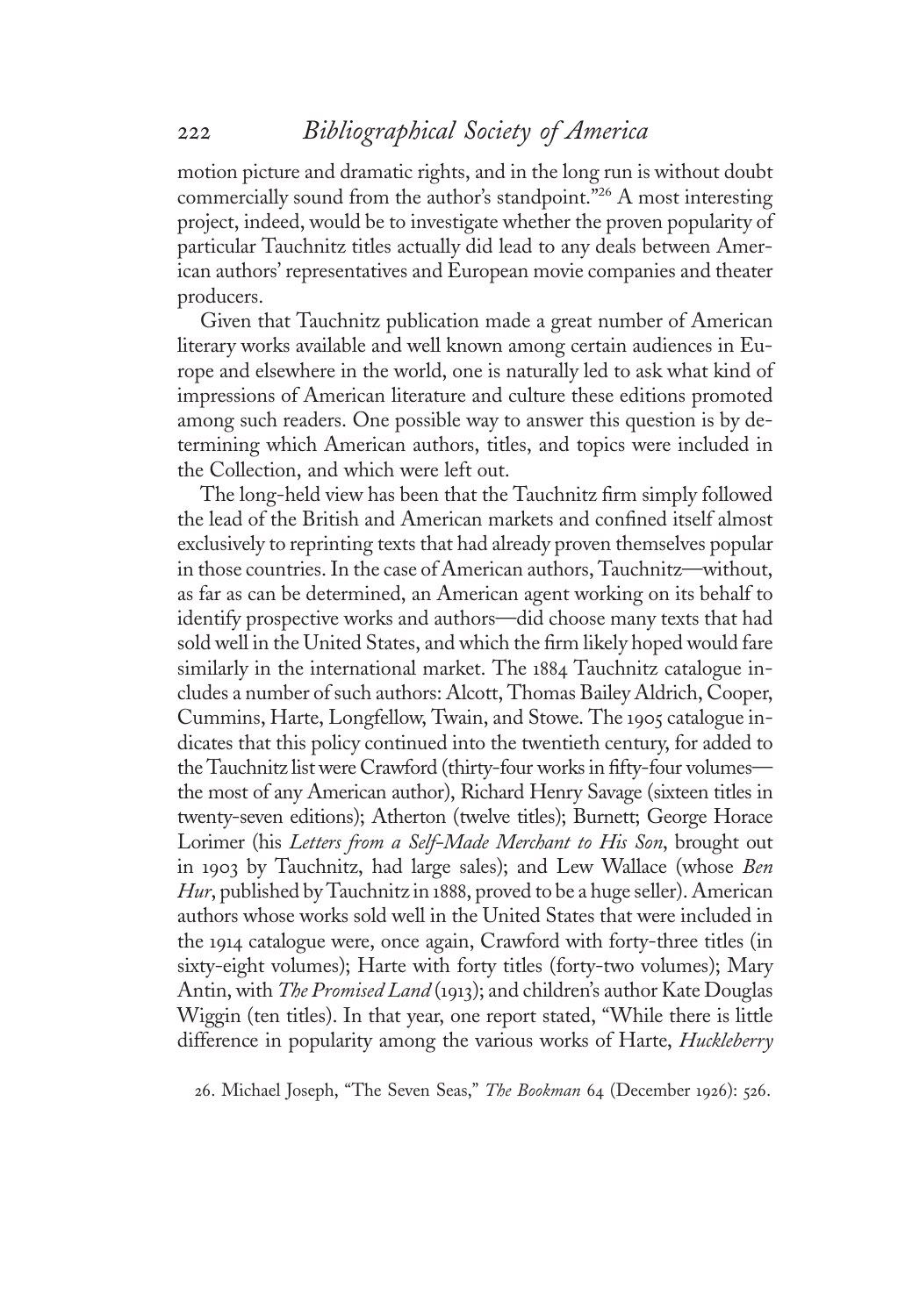motion picture and dramatic rights, and in the long run is without doubt commercially sound from the author's standpoint." <sup>26</sup> A most interesting project, indeed, would be to investigate whether the proven popularity of particular Tauchnitz titles actually did lead to any deals between American authors' representatives and European movie companies and theater producers.

Given that Tauchnitz publication made a great number of American literary works available and well known among certain audiences in Europe and elsewhere in the world, one is naturally led to ask what kind of impressions of American literature and culture these editions promoted among such readers. One possible way to answer this question is by determining which American authors, titles, and topics were included in the Collection, and which were left out.

The long-held view has been that the Tauchnitz firm simply followed the lead of the British and American markets and confined itself almost exclusively to reprinting texts that had already proven themselves popular in those countries. In the case of American authors, Tauchnitz—without, as far as can be determined, an American agent working on its behalf to identify prospective works and authors—did choose many texts that had sold well in the United States, and which the firm likely hoped would fare similarly in the international market. The <sup>1</sup>884 Tauchnitz catalogue includes a number of such authors: Alcott, Thomas Bailey Aldrich, Cooper, Cummins, Harte, Longfellow, Twain, and Stowe. The <sup>1</sup>905 catalogue indicates that this policy continued into the twentieth century, for added to the Tauchnitz list were Crawford (thirty-four works in fifty-four volumes the most of any American author), Richard Henry Savage (sixteen titles in twenty-seven editions); Atherton (twelve titles); Burnett; George Horace Lorimer (his Letters from a Self-Made Merchant to His Son, brought out in <sup>1</sup>903 by Tauchnitz, had large sales); and Lew Wallace (whose Ben Hur, published by Tauchnitz in 1888, proved to be a huge seller). American authors whose works sold well in the United States that were included in the <sup>1</sup>914 catalogue were, once again, Crawford with forty-three titles (in sixty-eight volumes); Harte with forty titles (forty-two volumes); Mary Antin, with The Promised Land (1913); and children's author Kate Douglas Wiggin (ten titles). In that year, one report stated, "While there is little difference in popularity among the various works of Harte, *Huckleberry* 

26. Michael Joseph, "The Seven Seas," The Bookman 64 (December <sup>1</sup>926): 526.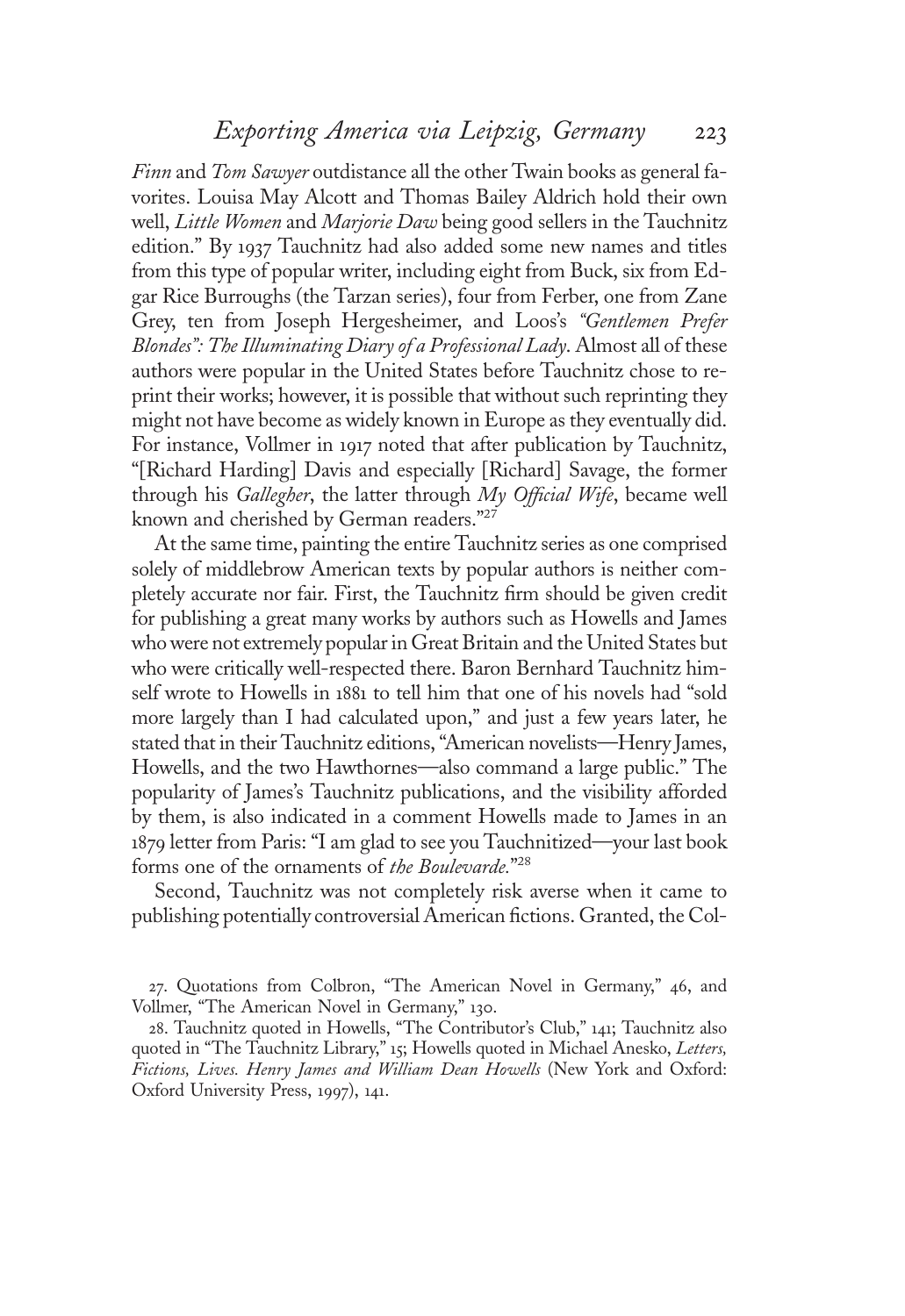Finn and Tom Sawyer outdistance all the other Twain books as general favorites. Louisa May Alcott and Thomas Bailey Aldrich hold their own well, Little Women and Marjorie Daw being good sellers in the Tauchnitz edition." By <sup>1</sup>937 Tauchnitz had also added some new names and titles from this type of popular writer, including eight from Buck, six from Edgar Rice Burroughs (the Tarzan series), four from Ferber, one from Zane Grey, ten from Joseph Hergesheimer, and Loos's "Gentlemen Prefer Blondes": The Illuminating Diary of a Professional Lady. Almost all of these authors were popular in the United States before Tauchnitz chose to reprint their works; however, it is possible that without such reprinting they might not have become as widely known in Europe as they eventually did. For instance, Vollmer in <sup>1</sup>917 noted that after publication by Tauchnitz, "[Richard Harding] Davis and especially [Richard] Savage, the former through his Gallegher, the latter through  $My$  Official Wife, became well known and cherished by German readers." 27

At the same time, painting the entire Tauchnitz series as one comprised solely of middlebrow American texts by popular authors is neither completely accurate nor fair. First, the Tauchnitz firm should be given credit for publishing a great many works by authors such as Howells and James who were not extremely popular in Great Britain and the United States but who were critically well-respected there. Baron Bernhard Tauchnitz himself wrote to Howells in <sup>1</sup>88<sup>1</sup> to tell him that one of his novels had "sold more largely than I had calculated upon," and just a few years later, he stated that in their Tauchnitz editions, "American novelists—Henry James, Howells, and the two Hawthornes—also command a large public." The popularity of James's Tauchnitz publications, and the visibility afforded by them, is also indicated in a comment Howells made to James in an <sup>1</sup>879 letter from Paris: "I am glad to see you Tauchnitized—your last book forms one of the ornaments of the Boulevarde."<sup>28</sup>

Second, Tauchnitz was not completely risk averse when it came to publishing potentially controversial American fictions. Granted, the Col-

27. Quotations from Colbron, "The American Novel in Germany," 46, and Vollmer, "The American Novel in Germany," <sup>1</sup>30.

28. Tauchnitz quoted in Howells, "The Contributor's Club," <sup>1</sup>41; Tauchnitz also quoted in "The Tauchnitz Library," 15; Howells quoted in Michael Anesko, Letters, Fictions, Lives. Henry James and William Dean Howells (New York and Oxford: Oxford University Press, <sup>1</sup>997), <sup>1</sup>41.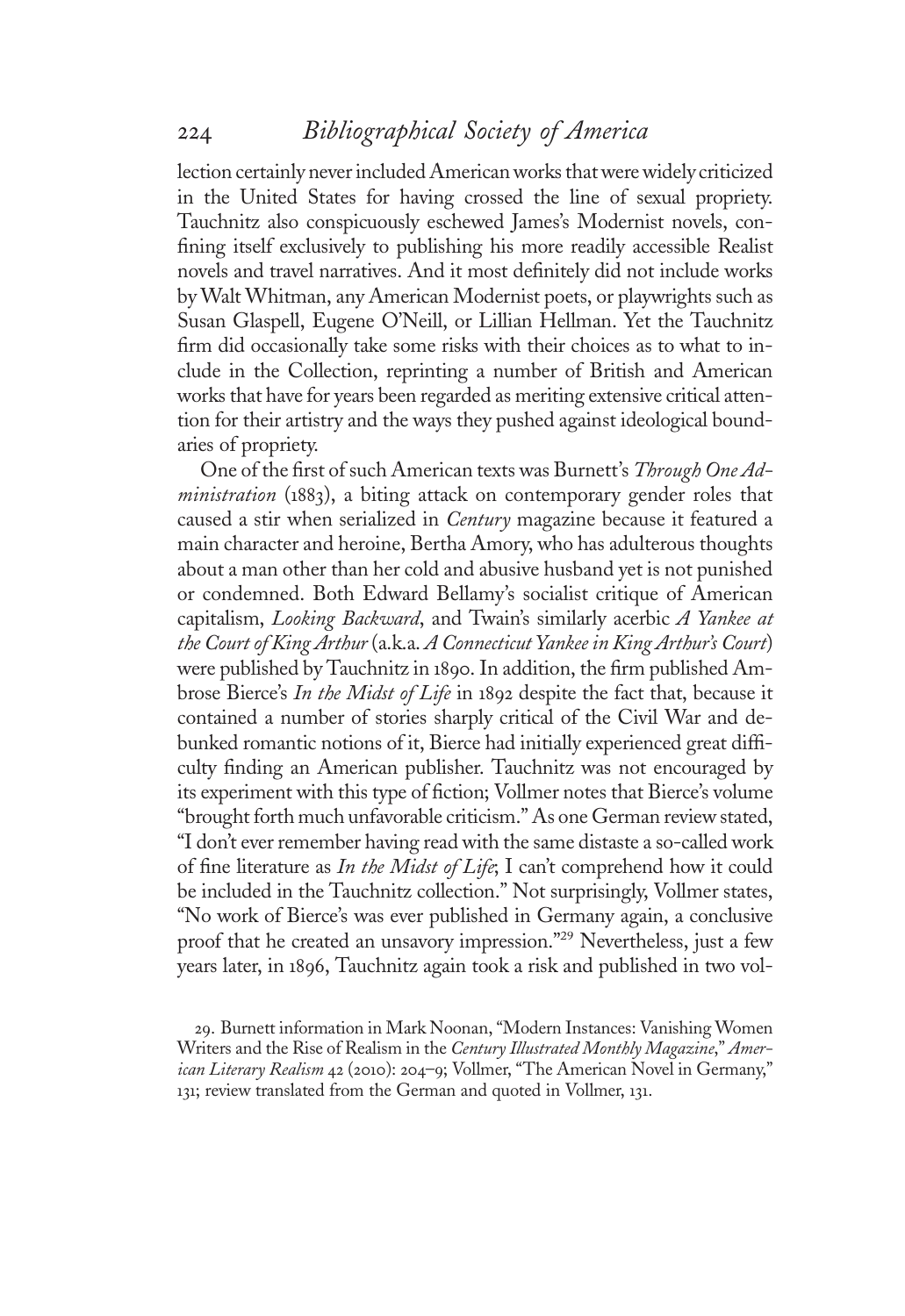lection certainly never included American works that were widely criticized in the United States for having crossed the line of sexual propriety. Tauchnitz also conspicuously eschewed James's Modernist novels, confining itself exclusively to publishing his more readily accessible Realist novels and travel narratives. And it most definitely did not include works by Walt Whitman, any American Modernist poets, or playwrights such as Susan Glaspell, Eugene O'Neill, or Lillian Hellman. Yet the Tauchnitz firm did occasionally take some risks with their choices as to what to include in the Collection, reprinting a number of British and American works that have for years been regarded as meriting extensive critical attention for their artistry and the ways they pushed against ideological boundaries of propriety.

One of the first of such American texts was Burnett's Through One Administration (1883), a biting attack on contemporary gender roles that caused a stir when serialized in *Century* magazine because it featured a main character and heroine, Bertha Amory, who has adulterous thoughts about a man other than her cold and abusive husband yet is not punished or condemned. Both Edward Bellamy's socialist critique of American capitalism, Looking Backward, and Twain's similarly acerbic A Yankee at the Court of King Arthur (a.k.a. A Connecticut Yankee in King Arthur's Court) were published by Tauchnitz in <sup>1</sup>890. In addition, the firm published Ambrose Bierce's In the Midst of Life in 1892 despite the fact that, because it contained a number of stories sharply critical of the Civil War and debunked romantic notions of it, Bierce had initially experienced great difficulty finding an American publisher. Tauchnitz was not encouraged by its experiment with this type of fiction; Vollmer notes that Bierce's volume "brought forth much unfavorable criticism." As one German review stated, "I don't ever remember having read with the same distaste a so-called work of fine literature as In the Midst of Life; I can't comprehend how it could be included in the Tauchnitz collection." Not surprisingly, Vollmer states, "No work of Bierce's was ever published in Germany again, a conclusive proof that he created an unsavory impression." <sup>29</sup> Nevertheless, just a few years later, in <sup>1</sup>896, Tauchnitz again took a risk and published in two vol-

29. Burnett information in Mark Noonan, "Modern Instances: Vanishing Women Writers and the Rise of Realism in the Century Illustrated Monthly Magazine," American Literary Realism 42 (2010): 204-9; Vollmer, "The American Novel in Germany," <sup>1</sup>31; review translated from the German and quoted in Vollmer, <sup>1</sup>31.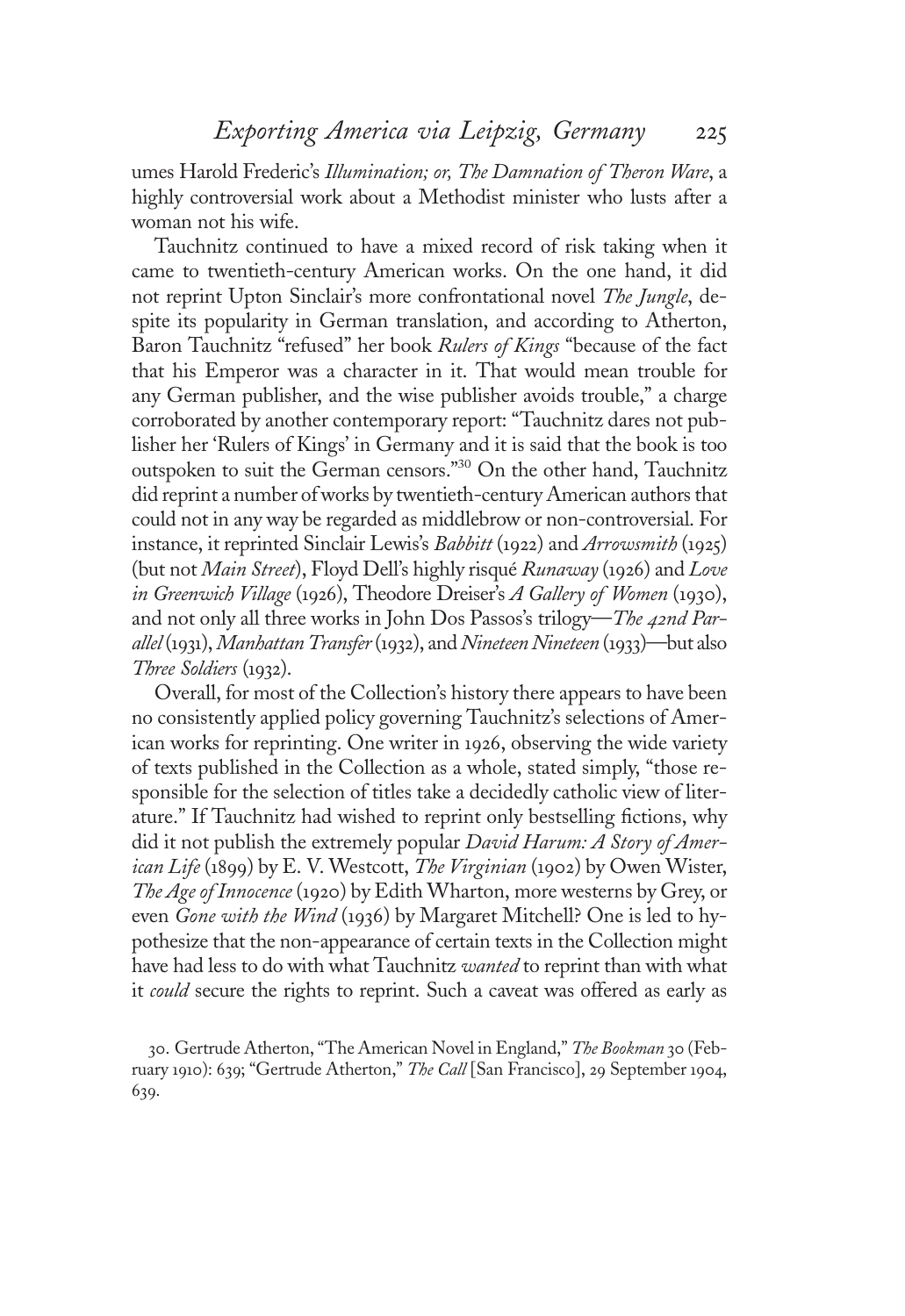umes Harold Frederic's Illumination; or, The Damnation of Theron Ware, a highly controversial work about a Methodist minister who lusts after a woman not his wife.

Tauchnitz continued to have a mixed record of risk taking when it came to twentieth-century American works. On the one hand, it did not reprint Upton Sinclair's more confrontational novel The Jungle, despite its popularity in German translation, and according to Atherton, Baron Tauchnitz "refused" her book Rulers of Kings "because of the fact that his Emperor was a character in it. That would mean trouble for any German publisher, and the wise publisher avoids trouble," a charge corroborated by another contemporary report: "Tauchnitz dares not publisher her 'Rulers of Kings' in Germany and it is said that the book is too outspoken to suit the German censors." <sup>30</sup> On the other hand, Tauchnitz did reprint a number of works by twentieth-century American authors that could not in any way be regarded as middlebrow or non-controversial. For instance, it reprinted Sinclair Lewis'<sup>s</sup> Babbitt (1922) and Arrowsmith (1925) (but not Main Street), Floyd Dell's highly risqué Runaway (1926) and Love in Greenwich Village (1926), Theodore Dreiser's A Gallery of Women (1930), and not only all three works in John Dos Passos's trilogy—The 42nd Parallel(1931), Manhattan Transfer(1932), and Nineteen Nineteen (1933)—but also Three Soldiers (1932).

Overall, for most of the Collection's history there appears to have been no consistently applied policy governing Tauchnitz's selections of American works for reprinting. One writer in <sup>1</sup>926, observing the wide variety of texts published in the Collection as a whole, stated simply, "those responsible for the selection of titles take a decidedly catholic view of literature." If Tauchnitz had wished to reprint only bestselling fictions, why did it not publish the extremely popular David Harum: A Story of American Life (1899) by E. V. Westcott, The Virginian (1902) by Owen Wister, The Age of Innocence (1920) by Edith Wharton, more westerns by Grey, or even Gone with the Wind (1936) by Margaret Mitchell? One is led to hypothesize that the non-appearance of certain texts in the Collection might have had less to do with what Tauchnitz wanted to reprint than with what it *could* secure the rights to reprint. Such a caveat was offered as early as

30. Gertrude Atherton, "The American Novel in England," The Bookman 30 (February <sup>1</sup>910): 639; "Gertrude Atherton," The Call [San Francisco], 29 September <sup>1</sup>904, 639.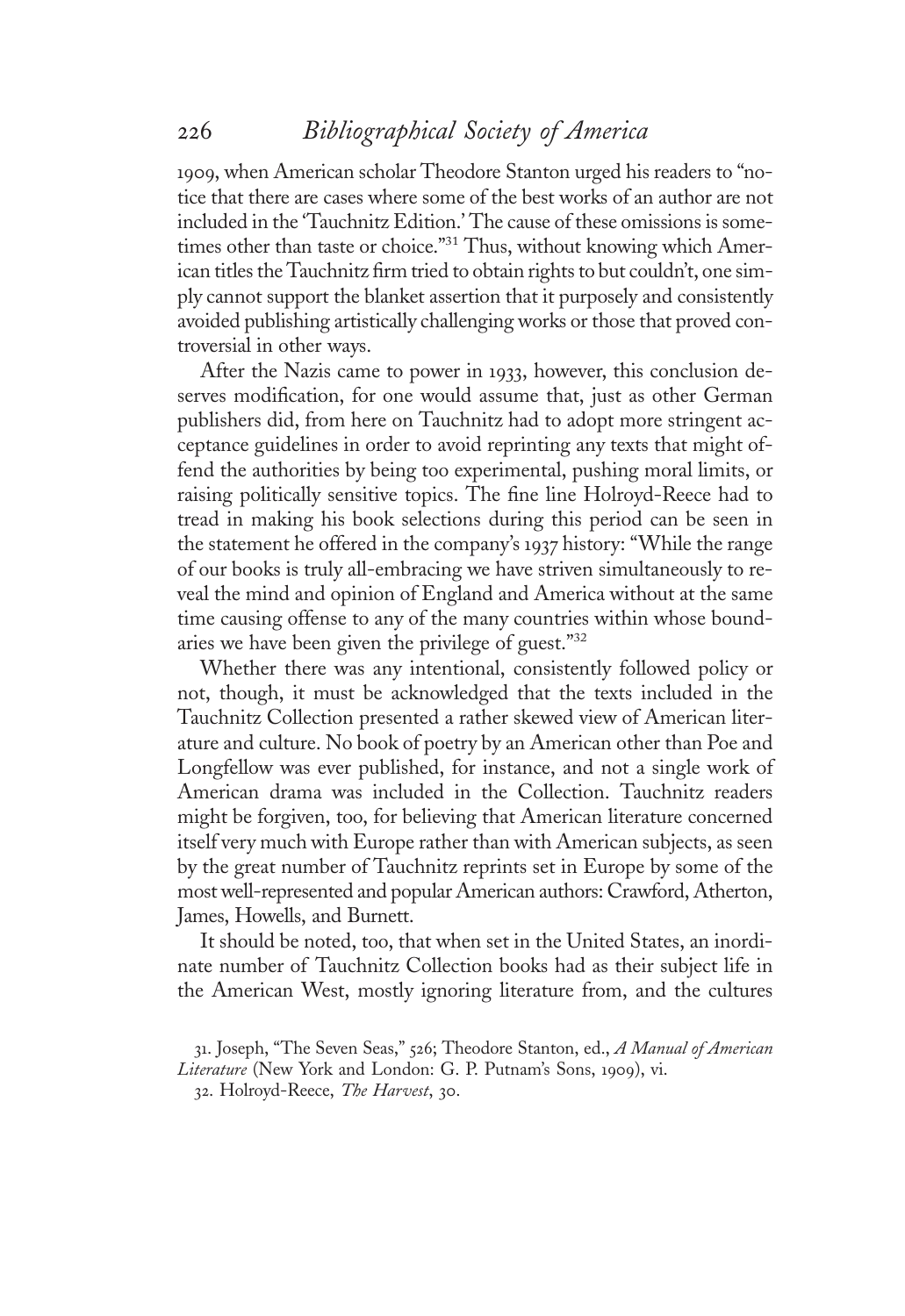<sup>1</sup>909, when American scholar Theodore Stanton urged his readers to "notice that there are cases where some of the best works of an author are not included in the 'Tauchnitz Edition.' The cause of these omissions is sometimes other than taste or choice."<sup>31</sup> Thus, without knowing which American titles the Tauchnitz firm tried to obtain rights to but couldn't, one simply cannot support the blanket assertion that it purposely and consistently avoided publishing artistically challenging works or those that proved controversial in other ways.

After the Nazis came to power in <sup>1</sup>933, however, this conclusion deserves modification, for one would assume that, just as other German publishers did, from here on Tauchnitz had to adopt more stringent acceptance guidelines in order to avoid reprinting any texts that might offend the authorities by being too experimental, pushing moral limits, or raising politically sensitive topics. The fine line Holroyd-Reece had to tread in making his book selections during this period can be seen in the statement he offered in the company'<sup>s</sup> <sup>1</sup>937 history: "While the range of our books is truly all-embracing we have striven simultaneously to reveal the mind and opinion of England and America without at the same time causing offense to any of the many countries within whose boundaries we have been given the privilege of guest." 32

Whether there was any intentional, consistently followed policy or not, though, it must be acknowledged that the texts included in the Tauchnitz Collection presented a rather skewed view of American literature and culture. No book of poetry by an American other than Poe and Longfellow was ever published, for instance, and not a single work of American drama was included in the Collection. Tauchnitz readers might be forgiven, too, for believing that American literature concerned itself very much with Europe rather than with American subjects, as seen by the great number of Tauchnitz reprints set in Europe by some of the most well-represented and popular American authors: Crawford, Atherton, James, Howells, and Burnett.

It should be noted, too, that when set in the United States, an inordinate number of Tauchnitz Collection books had as their subject life in the American West, mostly ignoring literature from, and the cultures

<sup>3</sup>1. Joseph, "The Seven Seas," 526; Theodore Stanton, ed., A Manual of American Literature (New York and London: G. P. Putnam's Sons, <sup>1</sup>909), vi.

<sup>32.</sup> Holroyd-Reece, The Harvest, 30.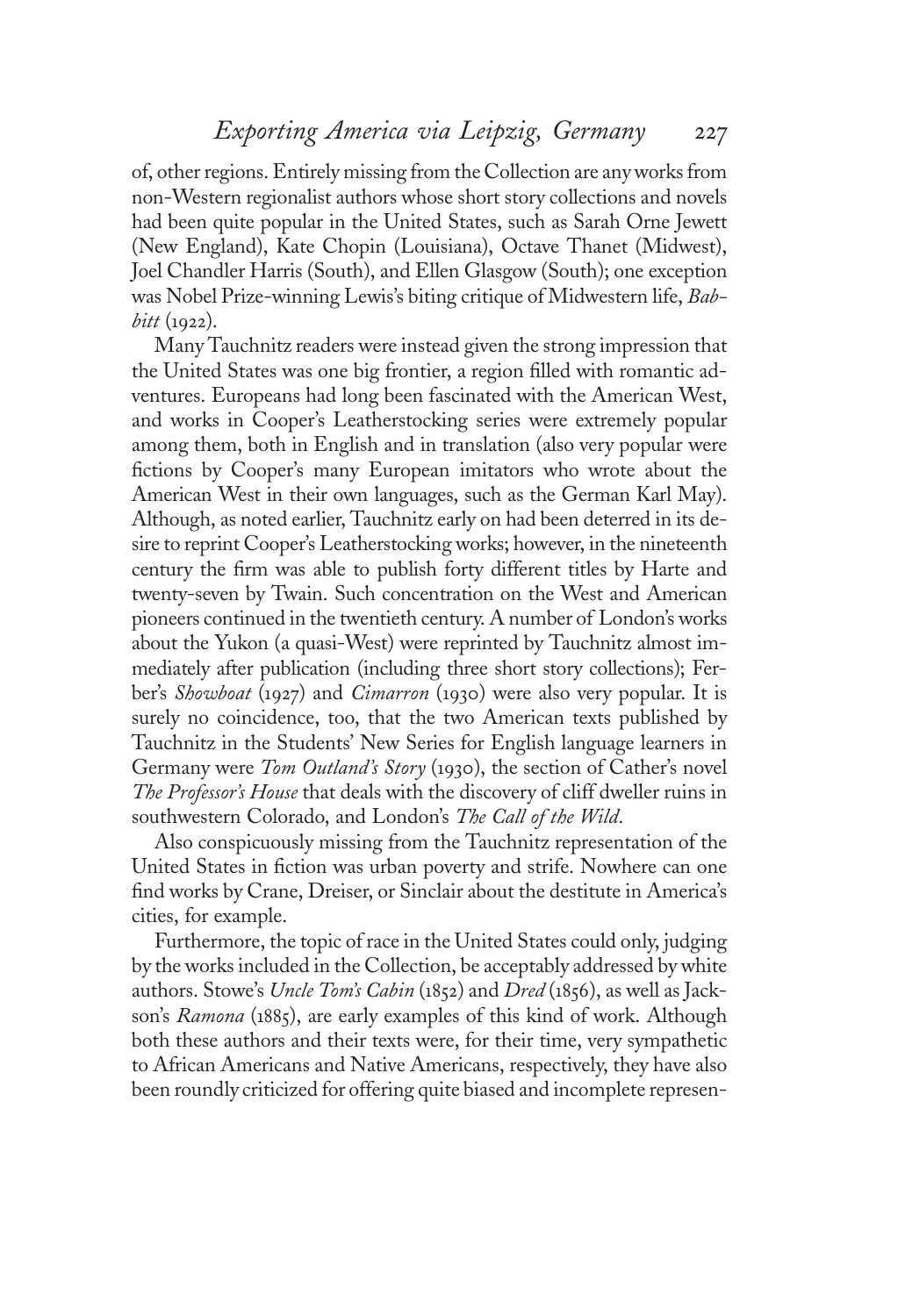of, other regions. Entirely missing from the Collection are any works from non-Western regionalist authors whose short story collections and novels had been quite popular in the United States, such as Sarah Orne Jewett (New England), Kate Chopin (Louisiana), Octave Thanet (Midwest), Joel Chandler Harris (South), and Ellen Glasgow (South); one exception was Nobel Prize-winning Lewis's biting critique of Midwestern life, Bab $bitt$  (1922).

Many Tauchnitz readers were instead given the strong impression that the United States was one big frontier, a region filled with romantic adventures. Europeans had long been fascinated with the American West, and works in Cooper's Leatherstocking series were extremely popular among them, both in English and in translation (also very popular were fictions by Cooper's many European imitators who wrote about the American West in their own languages, such as the German Karl May). Although, as noted earlier, Tauchnitz early on had been deterred in its desire to reprint Cooper's Leatherstocking works; however, in the nineteenth century the firm was able to publish forty different titles by Harte and twenty-seven by Twain. Such concentration on the West and American pioneers continued in the twentieth century. A number of London's works about the Yukon (a quasi-West) were reprinted by Tauchnitz almost immediately after publication (including three short story collections); Ferber's *Showboat* (1927) and *Cimarron* (1930) were also very popular. It is surely no coincidence, too, that the two American texts published by Tauchnitz in the Students' New Series for English language learners in Germany were *Tom Outland's Story* (1930), the section of Cather's novel The Professor's House that deals with the discovery of cliff dweller ruins in southwestern Colorado, and London's The Call of the Wild.

Also conspicuously missing from the Tauchnitz representation of the United States in fiction was urban poverty and strife. Nowhere can one find works by Crane, Dreiser, or Sinclair about the destitute in America's cities, for example.

Furthermore, the topic of race in the United States could only, judging by the works included in the Collection, be acceptably addressed by white authors. Stowe's Uncle Tom's Cabin (1852) and Dred (1856), as well as Jackson'<sup>s</sup> Ramona (1885), are early examples of this kind of work. Although both these authors and their texts were, for their time, very sympathetic to African Americans and Native Americans, respectively, they have also been roundly criticized for offering quite biased and incomplete represen-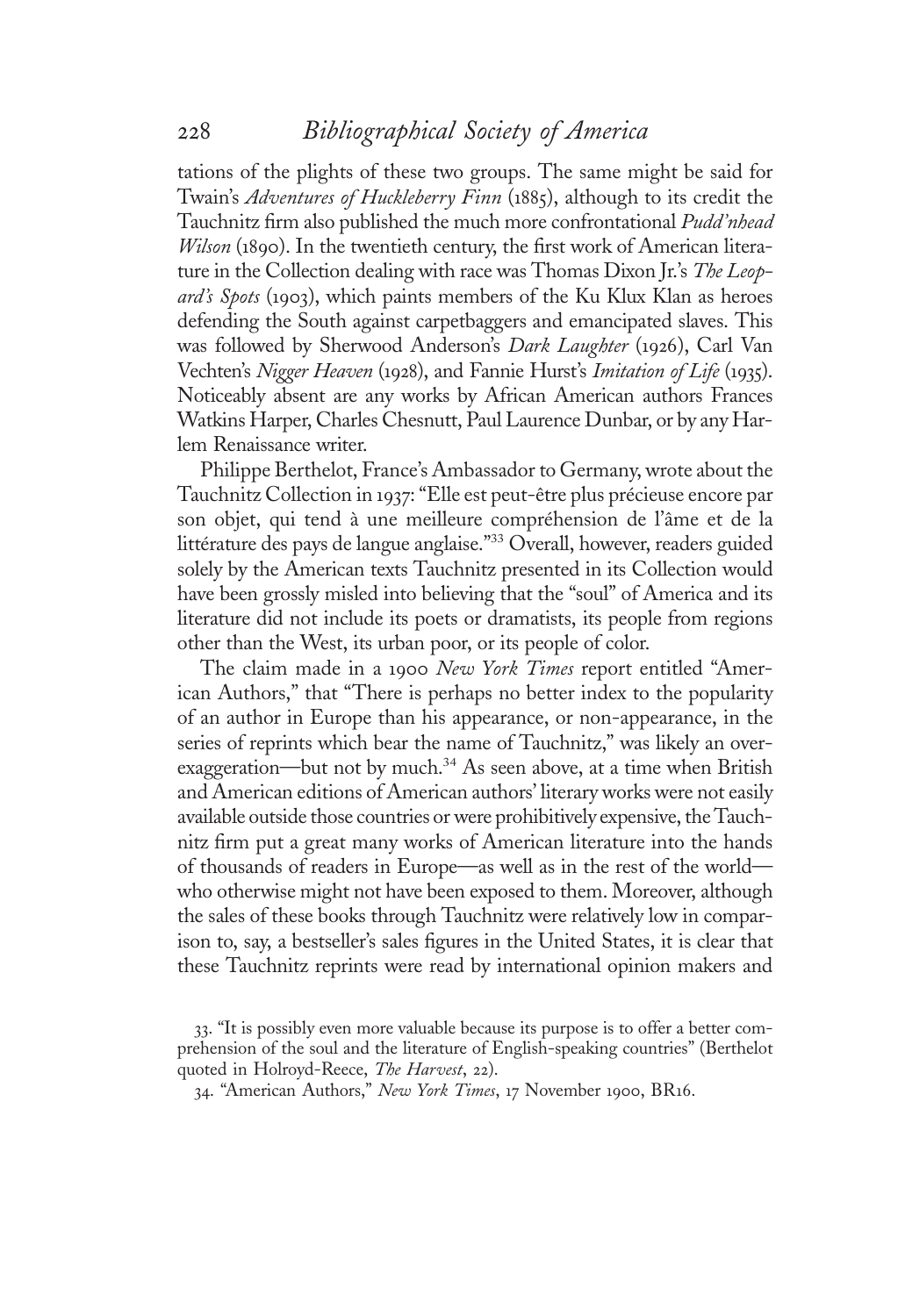tations of the plights of these two groups. The same might be said for Twain'<sup>s</sup> Adventures of Huckleberry Finn (1885), although to its credit the Tauchnitz firm also published the much more confrontational Pudd'nhead Wilson (1890). In the twentieth century, the first work of American literature in the Collection dealing with race was Thomas Dixon Jr.'s The Leopard's Spots (1903), which paints members of the Ku Klux Klan as heroes defending the South against carpetbaggers and emancipated slaves. This was followed by Sherwood Anderson's Dark Laughter (1926), Carl Van Vechten's Nigger Heaven (1928), and Fannie Hurst's Imitation of Life (1935). Noticeably absent are any works by African American authors Frances Watkins Harper, Charles Chesnutt, Paul Laurence Dunbar, or by any Harlem Renaissance writer.

Philippe Berthelot, France's Ambassador to Germany, wrote about the Tauchnitz Collection in <sup>1</sup>937: "Elle est peut-être plus précieuse encore par son objet, qui tend à une meilleure compréhension de l'âme et de la littérature des pays de langue anglaise." <sup>33</sup> Overall, however, readers guided solely by the American texts Tauchnitz presented in its Collection would have been grossly misled into believing that the "soul" of America and its literature did not include its poets or dramatists, its people from regions other than the West, its urban poor, or its people of color.

The claim made in a 1900 New York Times report entitled "American Authors," that "There is perhaps no better index to the popularity of an author in Europe than his appearance, or non-appearance, in the series of reprints which bear the name of Tauchnitz," was likely an overexaggeration—but not by much.<sup>34</sup> As seen above, at a time when British and American editions of American authors' literary works were not easily available outside those countries or were prohibitively expensive, the Tauchnitz firm put a great many works of American literature into the hands of thousands of readers in Europe—as well as in the rest of the world who otherwise might not have been exposed to them. Moreover, although the sales of these books through Tauchnitz were relatively low in comparison to, say, a bestseller's sales figures in the United States, it is clear that these Tauchnitz reprints were read by international opinion makers and

<sup>33</sup>. "It is possibly even more valuable because its purpose is to offer a better comprehension of the soul and the literature of English-speaking countries" (Berthelot quoted in Holroyd-Reece, The Harvest, 22).

<sup>34</sup>. "American Authors," New York Times, <sup>1</sup>7 November <sup>1</sup>900, BR16.